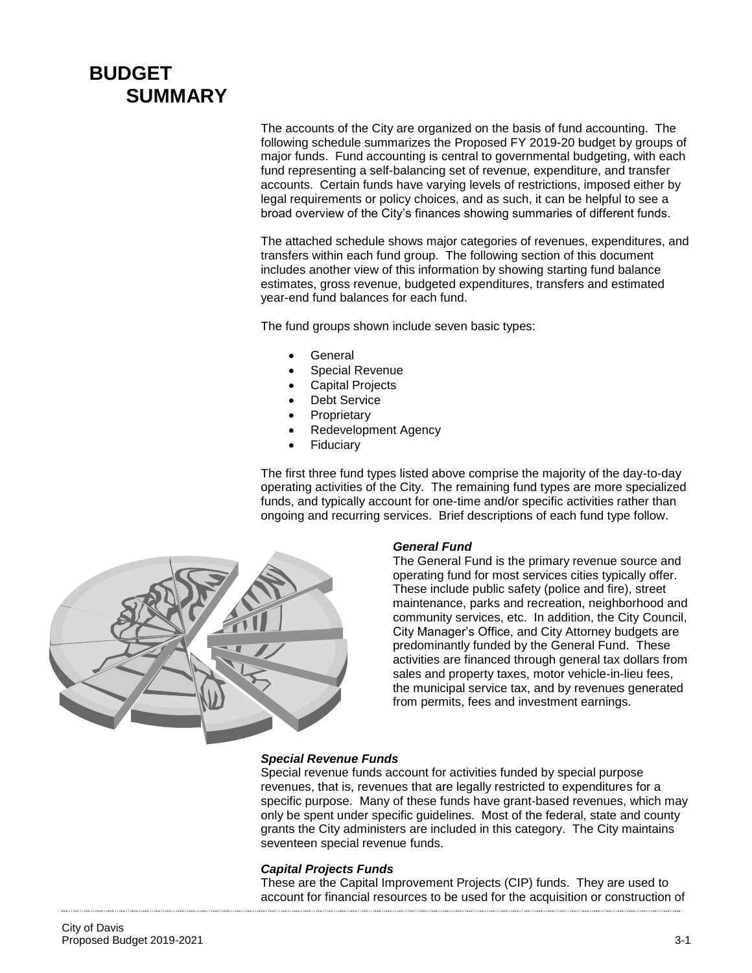# **BUDGET SUMMARY**

The accounts of the City are organized on the basis of fund accounting. The following schedule summarizes the Proposed FY 2019-20 budget by groups of major funds. Fund accounting is central to governmental budgeting, with each fund representing a self-balancing set of revenue, expenditure, and transfer accounts. Certain funds have varying levels of restrictions, imposed either by legal requirements or policy choices, and as such, it can be helpful to see a broad overview of the City's finances showing summaries of different funds.

The attached schedule shows major categories of revenues, expenditures, and transfers within each fund group. The following section of this document includes another view of this information by showing starting fund balance estimates, gross revenue, budgeted expenditures, transfers and estimated year-end fund balances for each fund.

The fund groups shown include seven basic types:

- General
- Special Revenue
- Capital Projects
- Debt Service
- **Proprietary**
- Redevelopment Agency
- Fiduciary

The first three fund types listed above comprise the majority of the day-to-day operating activities of the City. The remaining fund types are more specialized funds, and typically account for one-time and/or specific activities rather than ongoing and recurring services. Brief descriptions of each fund type follow.



#### *General Fund*

The General Fund is the primary revenue source and operating fund for most services cities typically offer. These include public safety (police and fire), street maintenance, parks and recreation, neighborhood and community services, etc. In addition, the City Council, City Manager's Office, and City Attorney budgets are predominantly funded by the General Fund. These activities are financed through general tax dollars from sales and property taxes, motor vehicle-in-lieu fees, the municipal service tax, and by revenues generated from permits, fees and investment earnings.

#### *Special Revenue Funds*

Special revenue funds account for activities funded by special purpose revenues, that is, revenues that are legally restricted to expenditures for a specific purpose. Many of these funds have grant-based revenues, which may only be spent under specific guidelines. Most of the federal, state and county grants the City administers are included in this category. The City maintains seventeen special revenue funds.

#### *Capital Projects Funds*

These are the Capital Improvement Projects (CIP) funds. They are used to account for financial resources to be used for the acquisition or construction of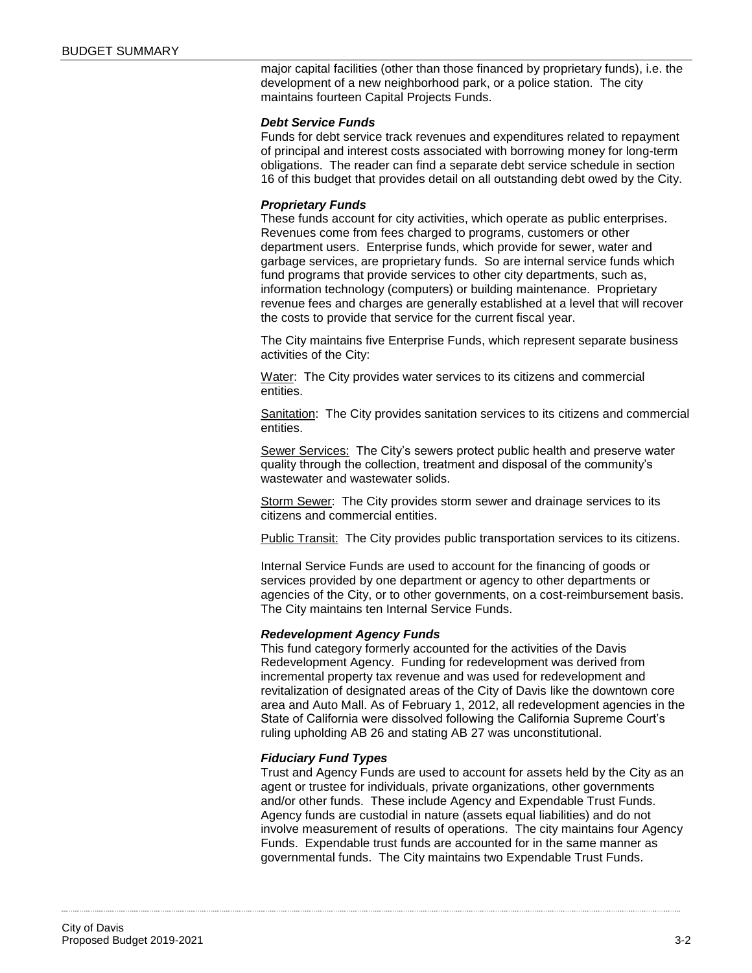major capital facilities (other than those financed by proprietary funds), i.e. the development of a new neighborhood park, or a police station. The city maintains fourteen Capital Projects Funds.

#### *Debt Service Funds*

Funds for debt service track revenues and expenditures related to repayment of principal and interest costs associated with borrowing money for long-term obligations. The reader can find a separate debt service schedule in section 16 of this budget that provides detail on all outstanding debt owed by the City.

#### *Proprietary Funds*

These funds account for city activities, which operate as public enterprises. Revenues come from fees charged to programs, customers or other department users. Enterprise funds, which provide for sewer, water and garbage services, are proprietary funds. So are internal service funds which fund programs that provide services to other city departments, such as, information technology (computers) or building maintenance. Proprietary revenue fees and charges are generally established at a level that will recover the costs to provide that service for the current fiscal year.

The City maintains five Enterprise Funds, which represent separate business activities of the City:

Water: The City provides water services to its citizens and commercial entities.

Sanitation: The City provides sanitation services to its citizens and commercial entities.

Sewer Services: The City's sewers protect public health and preserve water quality through the collection, treatment and disposal of the community's wastewater and wastewater solids.

Storm Sewer: The City provides storm sewer and drainage services to its citizens and commercial entities.

Public Transit: The City provides public transportation services to its citizens.

Internal Service Funds are used to account for the financing of goods or services provided by one department or agency to other departments or agencies of the City, or to other governments, on a cost-reimbursement basis. The City maintains ten Internal Service Funds.

#### *Redevelopment Agency Funds*

This fund category formerly accounted for the activities of the Davis Redevelopment Agency. Funding for redevelopment was derived from incremental property tax revenue and was used for redevelopment and revitalization of designated areas of the City of Davis like the downtown core area and Auto Mall. As of February 1, 2012, all redevelopment agencies in the State of California were dissolved following the California Supreme Court's ruling upholding AB 26 and stating AB 27 was unconstitutional.

#### *Fiduciary Fund Types*

Trust and Agency Funds are used to account for assets held by the City as an agent or trustee for individuals, private organizations, other governments and/or other funds. These include Agency and Expendable Trust Funds. Agency funds are custodial in nature (assets equal liabilities) and do not involve measurement of results of operations. The city maintains four Agency Funds. Expendable trust funds are accounted for in the same manner as governmental funds. The City maintains two Expendable Trust Funds.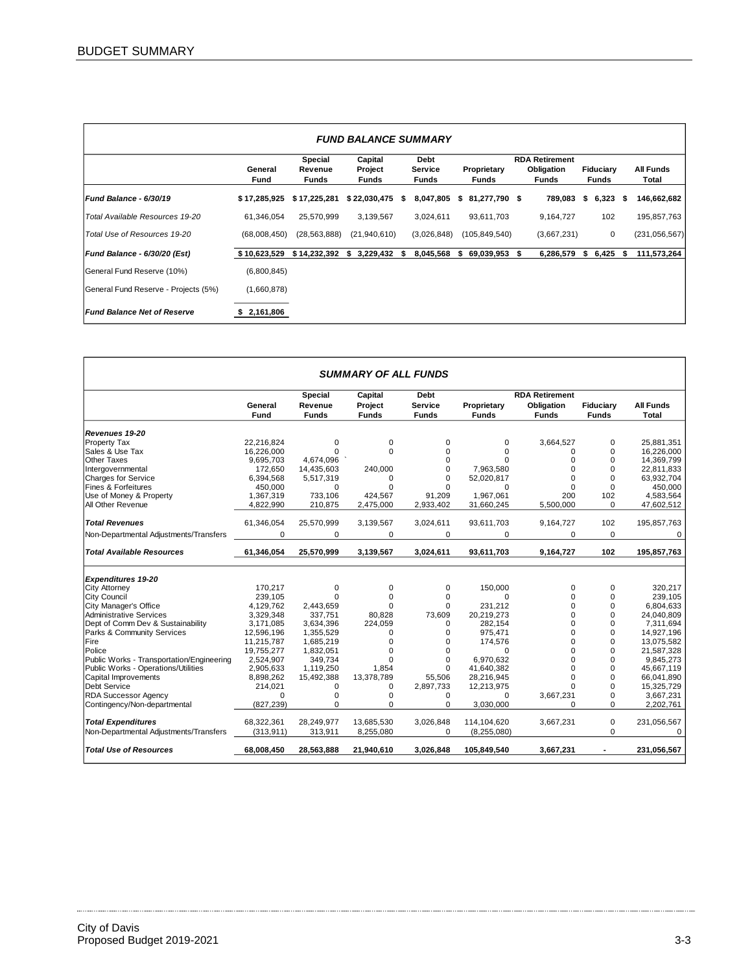| <b>FUND BALANCE SUMMARY</b>          |                        |                                    |                                    |    |                                 |    |                             |   |                                                     |                           |                           |
|--------------------------------------|------------------------|------------------------------------|------------------------------------|----|---------------------------------|----|-----------------------------|---|-----------------------------------------------------|---------------------------|---------------------------|
|                                      | General<br><b>Fund</b> | Special<br>Revenue<br><b>Funds</b> | Capital<br>Project<br><b>Funds</b> |    | Debt<br>Service<br><b>Funds</b> |    | Proprietary<br><b>Funds</b> |   | <b>RDA Retirement</b><br>Obligation<br><b>Funds</b> | Fiduciary<br><b>Funds</b> | <b>All Funds</b><br>Total |
| <b>Fund Balance - 6/30/19</b>        | \$17,285,925           | \$17,225,281                       | \$22,030,475                       | -S | 8,047,805                       | s. | 81,277,790 \$               |   | 789,083                                             | \$<br>$6,323$ \$          | 146,662,682               |
| Total Available Resources 19-20      | 61,346,054             | 25,570,999                         | 3,139,567                          |    | 3,024,611                       |    | 93,611,703                  |   | 9,164,727                                           | 102                       | 195,857,763               |
| Total Use of Resources 19-20         | (68,008,450)           | (28, 563, 888)                     | (21,940,610)                       |    | (3,026,848)                     |    | (105, 849, 540)             |   | (3,667,231)                                         | 0                         | (231, 056, 567)           |
| Fund Balance - 6/30/20 (Est)         | \$10,623,529           | \$14,232,392                       | 3,229,432 \$<br>s                  |    | 8,045,568                       | s  | 69,039,953                  | S | 6,286,579                                           | \$<br>6,425               | \$<br>111,573,264         |
| General Fund Reserve (10%)           | (6,800,845)            |                                    |                                    |    |                                 |    |                             |   |                                                     |                           |                           |
| General Fund Reserve - Projects (5%) | (1,660,878)            |                                    |                                    |    |                                 |    |                             |   |                                                     |                           |                           |
| <b>Fund Balance Net of Reserve</b>   | \$2,161,806            |                                    |                                    |    |                                 |    |                             |   |                                                     |                           |                           |

|                                           | <b>SUMMARY OF ALL FUNDS</b> |              |              |                |              |                       |                |                  |  |  |  |
|-------------------------------------------|-----------------------------|--------------|--------------|----------------|--------------|-----------------------|----------------|------------------|--|--|--|
|                                           |                             | Special      | Capital      | <b>Debt</b>    |              | <b>RDA Retirement</b> |                |                  |  |  |  |
|                                           | General                     | Revenue      | Project      | <b>Service</b> | Proprietary  | Obligation            | Fiduciary      | <b>All Funds</b> |  |  |  |
|                                           | Fund                        | <b>Funds</b> | <b>Funds</b> | <b>Funds</b>   | <b>Funds</b> | <b>Funds</b>          | <b>Funds</b>   | <b>Total</b>     |  |  |  |
| Revenues 19-20                            |                             |              |              |                |              |                       |                |                  |  |  |  |
| <b>Property Tax</b>                       | 22,216,824                  | $\Omega$     | 0            | 0              | 0            | 3,664,527             | $\Omega$       | 25,881,351       |  |  |  |
| Sales & Use Tax                           | 16.226.000                  | $\Omega$     | $\Omega$     | $\Omega$       | $\Omega$     | 0                     | $\Omega$       | 16,226,000       |  |  |  |
| <b>Other Taxes</b>                        | 9,695,703                   | 4,674,096    |              | $\Omega$       | $\Omega$     | 0                     | $\Omega$       | 14,369,799       |  |  |  |
| Intergovernmental                         | 172,650                     | 14,435,603   | 240,000      | $\Omega$       | 7,963,580    | $\Omega$              | $\Omega$       | 22,811,833       |  |  |  |
| <b>Charges for Service</b>                | 6,394,568                   | 5,517,319    | 0            | $\Omega$       | 52,020,817   | $\Omega$              | $\Omega$       | 63,932,704       |  |  |  |
| Fines & Forfeitures                       | 450,000                     | $\Omega$     | $\Omega$     | $\Omega$       | $\Omega$     | 0                     | $\Omega$       | 450,000          |  |  |  |
| Use of Money & Property                   | 1,367,319                   | 733,106      | 424,567      | 91,209         | 1,967,061    | 200                   | 102            | 4,583,564        |  |  |  |
| All Other Revenue                         | 4,822,990                   | 210,875      | 2,475,000    | 2,933,402      | 31,660,245   | 5,500,000             | $\Omega$       | 47,602,512       |  |  |  |
|                                           |                             |              |              |                |              |                       |                |                  |  |  |  |
| <b>Total Revenues</b>                     | 61,346,054                  | 25,570,999   | 3,139,567    | 3,024,611      | 93,611,703   | 9,164,727             | 102            | 195,857,763      |  |  |  |
| Non-Departmental Adjustments/Transfers    | $\Omega$                    | $\Omega$     | $\Omega$     | $\Omega$       | $\Omega$     | $\Omega$              | $\Omega$       | $\Omega$         |  |  |  |
| <b>Total Available Resources</b>          | 61,346,054                  | 25,570,999   | 3,139,567    | 3,024,611      | 93,611,703   | 9,164,727             | 102            | 195,857,763      |  |  |  |
| <b>Expenditures 19-20</b>                 |                             |              |              |                |              |                       |                |                  |  |  |  |
| <b>City Attorney</b>                      | 170.217                     | 0            | 0            | 0              | 150.000      | 0                     | 0              | 320.217          |  |  |  |
| <b>City Council</b>                       | 239.105                     | $\Omega$     | 0            | 0              | $\Omega$     | $\Omega$              | $\Omega$       | 239.105          |  |  |  |
| City Manager's Office                     | 4,129,762                   | 2,443,659    | $\Omega$     | 0              | 231.212      | 0                     | 0              | 6,804,633        |  |  |  |
| <b>Administrative Services</b>            | 3,329,348                   | 337.751      | 80.828       | 73.609         | 20,219,273   | $\Omega$              | $\Omega$       | 24,040,809       |  |  |  |
| Dept of Comm Dev & Sustainability         | 3,171,085                   | 3,634,396    | 224.059      | $\Omega$       | 282.154      | $\Omega$              | $\Omega$       | 7,311,694        |  |  |  |
| Parks & Community Services                | 12,596,196                  | 1,355,529    | 0            | 0              | 975,471      | 0                     | 0              | 14,927,196       |  |  |  |
| Fire                                      | 11,215,787                  | 1,685,219    | $\mathbf 0$  | $\Omega$       | 174,576      | $\Omega$              | $\Omega$       | 13,075,582       |  |  |  |
| Police                                    | 19,755,277                  | 1,832,051    | 0            | 0              | $\Omega$     | $\Omega$              | $\Omega$       | 21,587,328       |  |  |  |
| Public Works - Transportation/Engineering | 2.524.907                   | 349.734      | $\Omega$     | 0              | 6.970,632    | $\Omega$              | $\Omega$       | 9.845.273        |  |  |  |
| Public Works - Operations/Utilities       | 2,905,633                   | 1,119,250    | 1,854        | $\Omega$       | 41,640,382   | $\Omega$              | $\Omega$       | 45,667,119       |  |  |  |
| Capital Improvements                      | 8,898,262                   | 15,492,388   | 13,378,789   | 55.506         | 28,216,945   | $\Omega$              | $\Omega$       | 66.041.890       |  |  |  |
| Debt Service                              | 214,021                     | $\Omega$     | $\Omega$     | 2,897,733      | 12,213,975   | $\Omega$              | $\Omega$       | 15,325,729       |  |  |  |
| <b>RDA Successor Agency</b>               | $\Omega$                    | 0            | 0            | 0              | $\Omega$     | 3,667,231             | 0              | 3,667,231        |  |  |  |
| Contingency/Non-departmental              | (827, 239)                  | 0            | $\Omega$     | $\Omega$       | 3,030,000    | $\Omega$              | $\Omega$       | 2,202,761        |  |  |  |
| <b>Total Expenditures</b>                 | 68,322,361                  | 28,249,977   | 13,685,530   | 3,026,848      | 114,104,620  | 3,667,231             | 0              | 231,056,567      |  |  |  |
| Non-Departmental Adjustments/Transfers    | (313, 911)                  | 313,911      | 8,255,080    | 0              | (8,255,080)  |                       | $\Omega$       | $\Omega$         |  |  |  |
| <b>Total Use of Resources</b>             | 68.008.450                  | 28.563.888   | 21.940.610   | 3.026.848      | 105.849.540  | 3.667.231             | $\blacksquare$ | 231,056,567      |  |  |  |

 $\ddotsc$ . . . . . . . . . .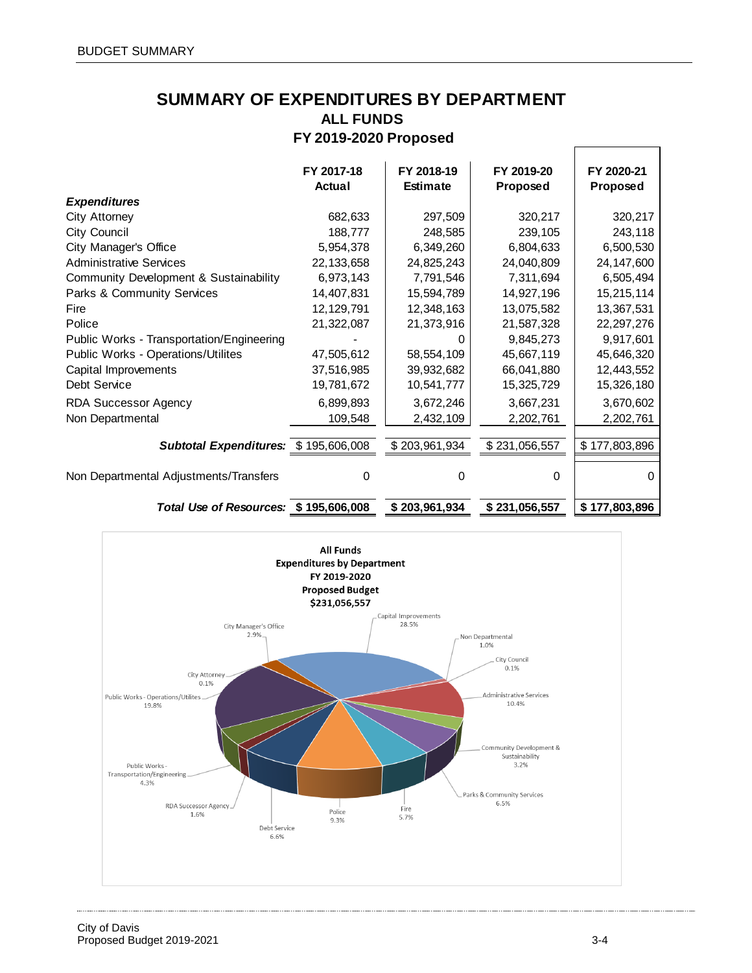# **FY 2019-2020 Proposed SUMMARY OF EXPENDITURES BY DEPARTMENT ALL FUNDS**

|                                           | FY 2017-18<br>Actual | FY 2018-19<br><b>Estimate</b> | FY 2019-20<br>Proposed | FY 2020-21<br>Proposed |
|-------------------------------------------|----------------------|-------------------------------|------------------------|------------------------|
| <b>Expenditures</b>                       |                      |                               |                        |                        |
| City Attorney                             | 682,633              | 297,509                       | 320,217                | 320,217                |
| City Council                              | 188,777              | 248,585                       | 239,105                | 243,118                |
| City Manager's Office                     | 5,954,378            | 6,349,260                     | 6,804,633              | 6,500,530              |
| <b>Administrative Services</b>            | 22,133,658           | 24,825,243                    | 24,040,809             | 24,147,600             |
| Community Development & Sustainability    | 6,973,143            | 7,791,546                     | 7,311,694              | 6,505,494              |
| Parks & Community Services                | 14,407,831           | 15,594,789                    | 14,927,196             | 15,215,114             |
| Fire                                      | 12,129,791           | 12,348,163                    | 13,075,582             | 13,367,531             |
| Police                                    | 21,322,087           | 21,373,916                    | 21,587,328             | 22, 297, 276           |
| Public Works - Transportation/Engineering |                      |                               | 9,845,273              | 9,917,601              |
| Public Works - Operations/Utilites        | 47,505,612           | 58,554,109                    | 45,667,119             | 45,646,320             |
| Capital Improvements                      | 37,516,985           | 39,932,682                    | 66,041,880             | 12,443,552             |
| Debt Service                              | 19,781,672           | 10,541,777                    | 15,325,729             | 15,326,180             |
| <b>RDA Successor Agency</b>               | 6,899,893            | 3,672,246                     | 3,667,231              | 3,670,602              |
| Non Departmental                          | 109,548              | 2,432,109                     | 2,202,761              | 2,202,761              |
|                                           |                      |                               |                        |                        |
| Subtotal Expenditures: \$195,606,008      |                      | \$203,961,934                 | \$231,056,557          | \$177,803,896          |
| Non Departmental Adjustments/Transfers    | $\Omega$             | 0                             | 0                      | $\Omega$               |
| Total Use of Resources: \$195,606,008     |                      | \$203,961,934                 | \$231,056,557          | \$177,803,896          |



 $\ddot{\phantom{a}}$ 

 $\Gamma$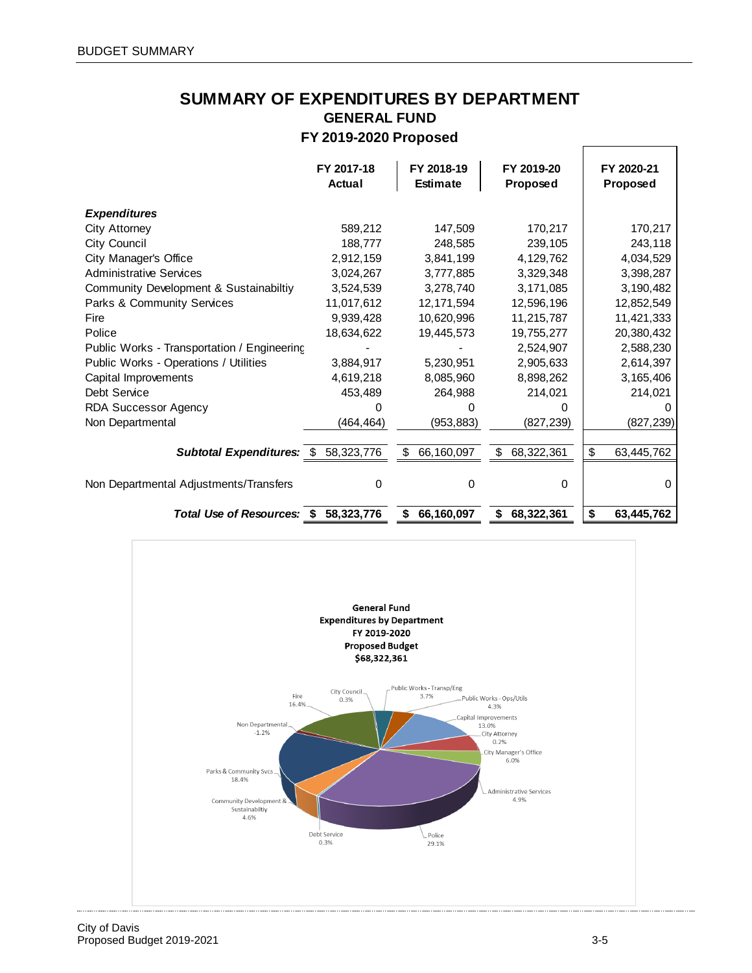# **SUMMARY OF EXPENDITURES BY DEPARTMENT GENERAL FUND FY 2019-2020 Proposed**

|                                             | FY 2017-18<br>Actual | FY 2018-19<br><b>Estimate</b>         | FY 2019-20<br>Proposed | FY 2020-21<br>Proposed |
|---------------------------------------------|----------------------|---------------------------------------|------------------------|------------------------|
| <b>Expenditures</b>                         |                      |                                       |                        |                        |
| City Attorney                               | 589,212              | 147,509                               | 170,217                | 170,217                |
| <b>City Council</b>                         | 188,777              | 248.585                               | 239,105                | 243,118                |
| City Manager's Office                       | 2,912,159            | 3,841,199                             | 4,129,762              | 4,034,529              |
| <b>Administrative Services</b>              | 3,024,267            | 3,777,885                             | 3,329,348              | 3,398,287              |
| Community Development & Sustainabiltiy      | 3,524,539            | 3,278,740                             | 3,171,085              | 3,190,482              |
| Parks & Community Services                  | 11,017,612           | 12, 171, 594                          | 12,596,196             | 12,852,549             |
| Fire                                        | 9,939,428            | 10,620,996                            | 11,215,787             | 11,421,333             |
| Police                                      | 18,634,622           | 19,445,573                            | 19,755,277             | 20,380,432             |
| Public Works - Transportation / Engineering |                      |                                       | 2,524,907              | 2,588,230              |
| Public Works - Operations / Utilities       | 3,884,917            | 5,230,951                             | 2,905,633              | 2,614,397              |
| Capital Improvements                        | 4,619,218            | 8,085,960                             | 8,898,262              | 3,165,406              |
| Debt Service                                | 453,489              | 264,988                               | 214,021                | 214,021                |
| <b>RDA Successor Agency</b>                 |                      |                                       | O                      |                        |
| Non Departmental                            | (464, 464)           | (953, 883)                            | (827, 239)             | (827, 239)             |
| Subtotal Expenditures: \$ 58,323,776        |                      | $\sqrt[6]{\frac{1}{2}}$<br>66,160,097 | \$<br>68,322,361       | \$<br>63,445,762       |
| Non Departmental Adjustments/Transfers      | 0                    | 0                                     | 0                      | 0                      |
| Total Use of Resources: \$                  | 58,323,776           | 66,160,097<br>S                       | 68,322,361<br>\$       | \$<br>63,445,762       |

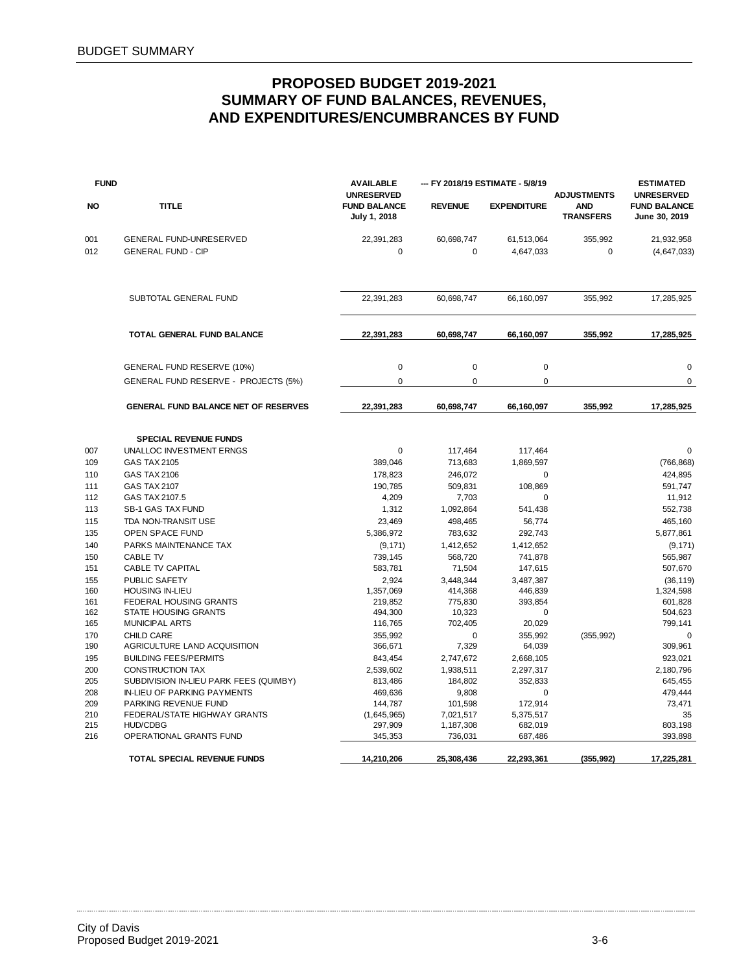| <b>FUND</b> |                                                      | <b>AVAILABLE</b><br><b>UNRESERVED</b> |                      | --- FY 2018/19 ESTIMATE - 5/8/19 | <b>ADJUSTMENTS</b>             | <b>ESTIMATED</b><br><b>UNRESERVED</b> |  |
|-------------|------------------------------------------------------|---------------------------------------|----------------------|----------------------------------|--------------------------------|---------------------------------------|--|
| <b>NO</b>   | <b>TITLE</b>                                         | <b>FUND BALANCE</b><br>July 1, 2018   | <b>REVENUE</b>       | <b>EXPENDITURE</b>               | <b>AND</b><br><b>TRANSFERS</b> | <b>FUND BALANCE</b><br>June 30, 2019  |  |
| 001         | GENERAL FUND-UNRESERVED                              | 22,391,283                            | 60,698,747           | 61,513,064                       | 355,992                        | 21,932,958                            |  |
| 012         | <b>GENERAL FUND - CIP</b>                            | $\mathbf 0$                           | $\mathbf 0$          | 4,647,033                        | $\bf 0$                        | (4, 647, 033)                         |  |
|             | SUBTOTAL GENERAL FUND                                | 22,391,283                            | 60,698,747           | 66,160,097                       | 355,992                        | 17,285,925                            |  |
|             | TOTAL GENERAL FUND BALANCE                           | 22,391,283                            | 60,698,747           | 66,160,097                       | 355,992                        | 17,285,925                            |  |
|             | GENERAL FUND RESERVE (10%)                           | $\pmb{0}$                             | $\mathbf 0$          | $\mathbf 0$                      |                                | $\mathbf 0$                           |  |
|             | GENERAL FUND RESERVE - PROJECTS (5%)                 | $\mathbf 0$                           | 0                    | $\mathbf 0$                      |                                | $\mathsf 0$                           |  |
|             | GENERAL FUND BALANCE NET OF RESERVES                 | 22,391,283                            | 60,698,747           | 66,160,097                       | 355,992                        | 17,285,925                            |  |
|             | <b>SPECIAL REVENUE FUNDS</b>                         |                                       |                      |                                  |                                |                                       |  |
| 007         | UNALLOC INVESTMENT ERNGS                             | $\pmb{0}$                             | 117,464              | 117,464                          |                                | $\mathbf 0$                           |  |
| 109         | <b>GAS TAX 2105</b>                                  | 389,046                               | 713,683              | 1,869,597                        |                                | (766, 868)                            |  |
| 110         | <b>GAS TAX 2106</b>                                  | 178,823                               | 246,072              | $\mathbf 0$                      |                                | 424,895                               |  |
| 111         | <b>GAS TAX 2107</b>                                  | 190,785                               | 509,831              | 108,869                          |                                | 591,747                               |  |
| 112         | GAS TAX 2107.5                                       | 4,209                                 | 7,703                | 0                                |                                | 11,912                                |  |
| 113         | <b>SB-1 GAS TAX FUND</b>                             | 1,312                                 | 1,092,864            | 541,438                          |                                | 552,738                               |  |
| 115         | TDA NON-TRANSIT USE                                  | 23,469                                | 498,465              | 56,774                           |                                | 465,160                               |  |
| 135         | <b>OPEN SPACE FUND</b>                               | 5,386,972                             | 783,632              | 292,743                          |                                | 5,877,861                             |  |
| 140         | PARKS MAINTENANCE TAX                                | (9, 171)                              | 1,412,652            | 1,412,652                        |                                | (9, 171)                              |  |
| 150         | <b>CABLE TV</b>                                      | 739,145                               | 568,720              | 741,878                          |                                | 565,987                               |  |
| 151         | <b>CABLE TV CAPITAL</b>                              | 583,781                               | 71,504               | 147,615                          |                                | 507,670                               |  |
| 155<br>160  | PUBLIC SAFETY<br><b>HOUSING IN-LIEU</b>              | 2,924<br>1,357,069                    | 3,448,344<br>414,368 | 3,487,387<br>446,839             |                                | (36, 119)<br>1,324,598                |  |
| 161         | FEDERAL HOUSING GRANTS                               | 219,852                               | 775,830              | 393,854                          |                                | 601,828                               |  |
| 162         | <b>STATE HOUSING GRANTS</b>                          | 494,300                               | 10,323               | 0                                |                                | 504,623                               |  |
| 165         | <b>MUNICIPAL ARTS</b>                                | 116,765                               | 702,405              | 20,029                           |                                | 799,141                               |  |
| 170         | <b>CHILD CARE</b>                                    | 355,992                               | 0                    | 355,992                          | (355, 992)                     | $\mathbf 0$                           |  |
| 190         | AGRICULTURE LAND ACQUISITION                         | 366,671                               | 7,329                | 64,039                           |                                | 309,961                               |  |
| 195         | <b>BUILDING FEES/PERMITS</b>                         | 843,454                               | 2,747,672            | 2,668,105                        |                                | 923,021                               |  |
| 200         | <b>CONSTRUCTION TAX</b>                              | 2,539,602                             | 1,938,511            | 2,297,317                        |                                | 2,180,796                             |  |
| 205         | SUBDIVISION IN-LIEU PARK FEES (QUIMBY)               | 813,486                               | 184,802              | 352,833                          |                                | 645,455                               |  |
| 208         | IN-LIEU OF PARKING PAYMENTS                          | 469,636                               | 9,808                | $\mathbf 0$                      |                                | 479,444                               |  |
| 209<br>210  | PARKING REVENUE FUND<br>FEDERAL/STATE HIGHWAY GRANTS | 144,787<br>(1,645,965)                | 101,598<br>7,021,517 | 172,914<br>5,375,517             |                                | 73,471<br>35                          |  |
| 215         | <b>HUD/CDBG</b>                                      | 297,909                               | 1,187,308            | 682,019                          |                                | 803.198                               |  |
| 216         | OPERATIONAL GRANTS FUND                              | 345,353                               | 736,031              | 687,486                          |                                | 393,898                               |  |
|             | <b>TOTAL SPECIAL REVENUE FUNDS</b>                   | 14,210,206                            | 25,308,436           | 22,293,361                       | (355, 992)                     | 17,225,281                            |  |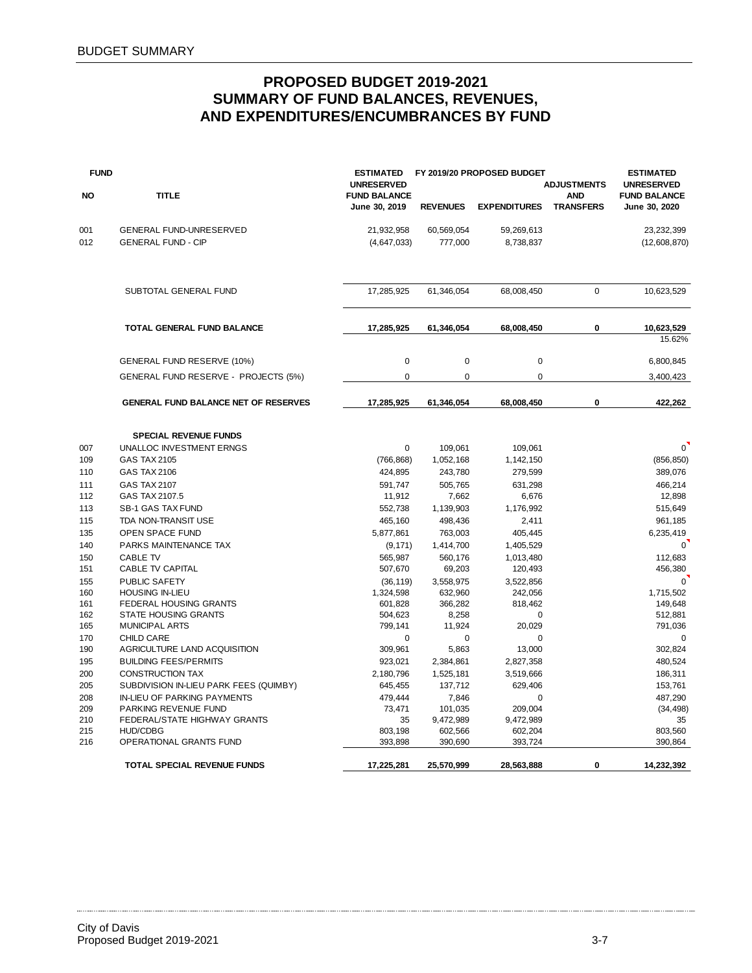| <b>FUND</b> |                                             | <b>ESTIMATED</b><br><b>UNRESERVED</b> |                     | FY 2019/20 PROPOSED BUDGET | <b>ADJUSTMENTS</b>             | <b>ESTIMATED</b><br><b>UNRESERVED</b> |
|-------------|---------------------------------------------|---------------------------------------|---------------------|----------------------------|--------------------------------|---------------------------------------|
| <b>NO</b>   | <b>TITLE</b>                                | <b>FUND BALANCE</b><br>June 30, 2019  | <b>REVENUES</b>     | <b>EXPENDITURES</b>        | <b>AND</b><br><b>TRANSFERS</b> | <b>FUND BALANCE</b><br>June 30, 2020  |
| 001         | GENERAL FUND-UNRESERVED                     | 21,932,958                            | 60,569,054          | 59,269,613                 |                                | 23,232,399                            |
| 012         | <b>GENERAL FUND - CIP</b>                   | (4,647,033)                           | 777,000             | 8,738,837                  |                                | (12,608,870)                          |
|             | SUBTOTAL GENERAL FUND                       | 17,285,925                            | 61,346,054          | 68,008,450                 | $\Omega$                       | 10,623,529                            |
|             | TOTAL GENERAL FUND BALANCE                  | 17,285,925                            | 61,346,054          | 68,008,450                 | 0                              | 10,623,529                            |
|             |                                             |                                       |                     |                            |                                | 15.62%                                |
|             | GENERAL FUND RESERVE (10%)                  | 0                                     | $\mathbf 0$         | $\pmb{0}$                  |                                | 6,800,845                             |
|             | GENERAL FUND RESERVE - PROJECTS (5%)        | 0                                     | 0                   | 0                          |                                | 3,400,423                             |
|             | <b>GENERAL FUND BALANCE NET OF RESERVES</b> | 17,285,925                            | 61,346,054          | 68,008,450                 | 0                              | 422,262                               |
|             | <b>SPECIAL REVENUE FUNDS</b>                |                                       |                     |                            |                                |                                       |
| 007         | UNALLOC INVESTMENT ERNGS                    | 0                                     | 109,061             | 109,061                    |                                | $\sigma$                              |
| 109         | <b>GAS TAX 2105</b>                         | (766, 868)                            | 1,052,168           | 1,142,150                  |                                | (856, 850)                            |
| 110         | <b>GAS TAX 2106</b>                         | 424,895                               | 243,780             | 279,599                    |                                | 389,076                               |
| 111         | <b>GAS TAX 2107</b>                         | 591,747                               | 505,765             | 631,298                    |                                | 466,214                               |
| 112         | GAS TAX 2107.5                              | 11,912                                | 7,662               | 6,676                      |                                | 12,898                                |
| 113         | <b>SB-1 GAS TAX FUND</b>                    | 552,738                               | 1,139,903           | 1,176,992                  |                                | 515,649                               |
| 115         | TDA NON-TRANSIT USE                         | 465,160                               | 498,436             | 2,411                      |                                | 961,185                               |
| 135         | OPEN SPACE FUND                             | 5,877,861                             | 763,003             | 405,445                    |                                | 6,235,419                             |
| 140         | PARKS MAINTENANCE TAX                       | (9, 171)                              | 1,414,700           | 1,405,529                  |                                | $\mathbf 0$                           |
| 150         | <b>CABLE TV</b><br>CABLE TV CAPITAL         | 565,987                               | 560,176             | 1,013,480                  |                                | 112,683                               |
| 151<br>155  | PUBLIC SAFETY                               | 507,670                               | 69,203<br>3,558,975 | 120,493<br>3,522,856       |                                | 456,380<br>$\Omega$                   |
| 160         | <b>HOUSING IN-LIEU</b>                      | (36, 119)<br>1,324,598                | 632,960             | 242,056                    |                                | 1,715,502                             |
| 161         | FEDERAL HOUSING GRANTS                      | 601,828                               | 366,282             | 818,462                    |                                | 149,648                               |
| 162         | <b>STATE HOUSING GRANTS</b>                 | 504,623                               | 8,258               | 0                          |                                | 512,881                               |
| 165         | <b>MUNICIPAL ARTS</b>                       | 799,141                               | 11,924              | 20,029                     |                                | 791,036                               |
| 170         | <b>CHILD CARE</b>                           | 0                                     | 0                   | 0                          |                                | $\Omega$                              |
| 190         | AGRICULTURE LAND ACQUISITION                | 309,961                               | 5,863               | 13,000                     |                                | 302,824                               |
| 195         | <b>BUILDING FEES/PERMITS</b>                | 923,021                               | 2,384,861           | 2,827,358                  |                                | 480,524                               |
| 200         | <b>CONSTRUCTION TAX</b>                     | 2,180,796                             | 1,525,181           | 3,519,666                  |                                | 186.311                               |
| 205         | SUBDIVISION IN-LIEU PARK FEES (QUIMBY)      | 645,455                               | 137,712             | 629,406                    |                                | 153,761                               |
| 208         | <b>IN-LIEU OF PARKING PAYMENTS</b>          | 479,444                               | 7,846               | 0                          |                                | 487,290                               |
| 209         | PARKING REVENUE FUND                        | 73,471                                | 101,035             | 209,004                    |                                | (34, 498)                             |
| 210         | FEDERAL/STATE HIGHWAY GRANTS                | 35                                    | 9,472,989           | 9,472,989                  |                                | 35                                    |
| 215         | <b>HUD/CDBG</b>                             | 803,198                               | 602,566             | 602,204                    |                                | 803,560                               |
| 216         | OPERATIONAL GRANTS FUND                     | 393,898                               | 390,690             | 393,724                    |                                | 390,864                               |
|             | TOTAL SPECIAL REVENUE FUNDS                 | 17,225,281                            | 25,570,999          | 28,563,888                 | $\mathbf 0$                    | 14,232,392                            |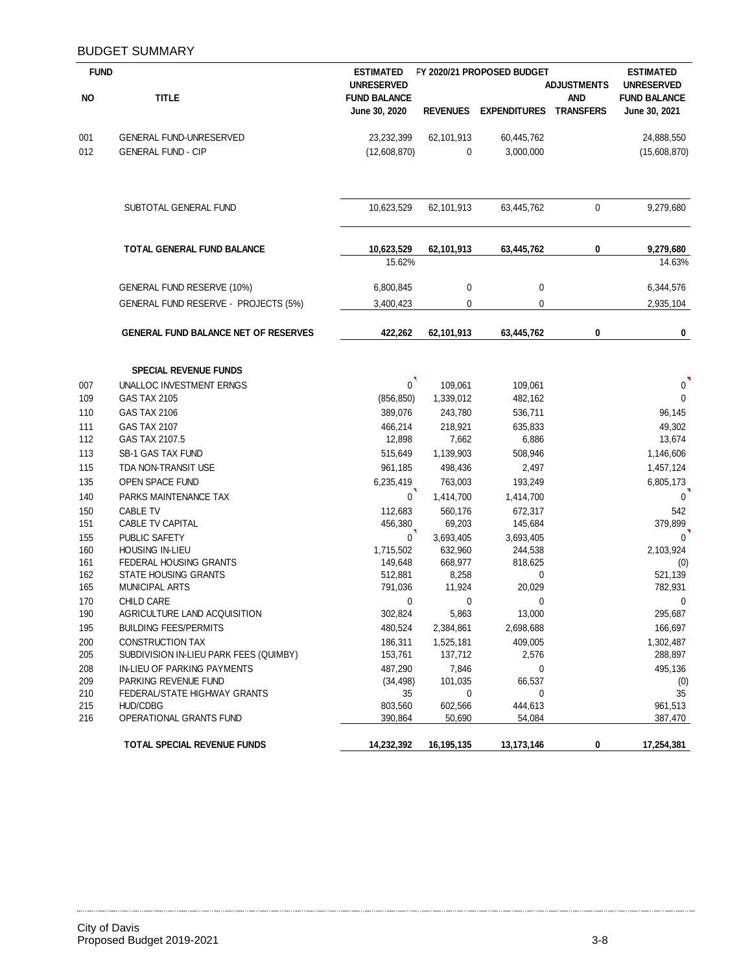### BUDGET SUMMARY

| <b>FUND</b> |                                             | <b>ESTIMATED</b>     |                    | FY 2020/21 PROPOSED BUDGET    |                    | <b>ESTIMATED</b>    |
|-------------|---------------------------------------------|----------------------|--------------------|-------------------------------|--------------------|---------------------|
|             |                                             | <b>UNRESERVED</b>    |                    |                               | <b>ADJUSTMENTS</b> | <b>UNRESERVED</b>   |
| <b>NO</b>   | <b>TITLE</b>                                | <b>FUND BALANCE</b>  |                    |                               | <b>AND</b>         | <b>FUND BALANCE</b> |
|             |                                             | June 30, 2020        | <b>REVENUES</b>    | <b>EXPENDITURES TRANSFERS</b> |                    | June 30, 2021       |
| 001         | <b>GENERAL FUND-UNRESERVED</b>              | 23,232,399           | 62,101,913         | 60,445,762                    |                    | 24,888,550          |
| 012         | <b>GENERAL FUND - CIP</b>                   | (12,608,870)         | 0                  | 3,000,000                     |                    | (15,608,870)        |
|             | SUBTOTAL GENERAL FUND                       | 10,623,529           | 62,101,913         | 63,445,762                    | 0                  | 9,279,680           |
|             |                                             |                      |                    |                               |                    |                     |
|             | TOTAL GENERAL FUND BALANCE                  | 10,623,529           | 62,101,913         | 63,445,762                    | 0                  | 9,279,680           |
|             |                                             | 15.62%               |                    |                               |                    | 14.63%              |
|             | GENERAL FUND RESERVE (10%)                  | 6,800,845            | $\mathbf 0$        | $\mathbf 0$                   |                    | 6,344,576           |
|             | GENERAL FUND RESERVE - PROJECTS (5%)        | 3,400,423            | 0                  | 0                             |                    | 2,935,104           |
|             | <b>GENERAL FUND BALANCE NET OF RESERVES</b> | 422,262              | 62,101,913         | 63,445,762                    | 0                  | 0                   |
|             | <b>SPECIAL REVENUE FUNDS</b>                |                      |                    |                               |                    |                     |
| 007         | UNALLOC INVESTMENT ERNGS                    | 0                    | 109,061            | 109,061                       |                    | $\mathbf 0$         |
| 109         | GAS TAX 2105                                | (856, 850)           | 1,339,012          | 482,162                       |                    | $\mathbf 0$         |
| 110         | GAS TAX 2106                                | 389,076              | 243,780            | 536,711                       |                    | 96,145              |
| 111         | <b>GAS TAX 2107</b>                         | 466,214              | 218,921            | 635,833                       |                    | 49,302              |
| 112         | GAS TAX 2107.5                              | 12,898               | 7,662              | 6,886                         |                    | 13,674              |
| 113         | SB-1 GAS TAX FUND                           | 515,649              | 1,139,903          | 508,946                       |                    | 1,146,606           |
| 115         | TDA NON-TRANSIT USE                         | 961,185              | 498,436            | 2,497                         |                    | 1,457,124           |
| 135         | OPEN SPACE FUND                             | 6,235,419            | 763,003            | 193,249                       |                    | 6,805,173           |
| 140         | PARKS MAINTENANCE TAX                       | 0                    | 1,414,700          | 1,414,700                     |                    | $\mathbf 0$         |
| 150         | <b>CABLE TV</b>                             | 112,683              | 560,176            | 672,317                       |                    | 542                 |
| 151         | CABLE TV CAPITAL                            | 456,380              | 69,203             | 145,684                       |                    | 379,899             |
| 155         | PUBLIC SAFETY                               | $\mathbf{0}$         | 3,693,405          | 3,693,405                     |                    | $\mathbf{0}$        |
| 160<br>161  | HOUSING IN-LIEU<br>FEDERAL HOUSING GRANTS   | 1,715,502<br>149,648 | 632,960<br>668,977 | 244,538<br>818,625            |                    | 2,103,924           |
| 162         | <b>STATE HOUSING GRANTS</b>                 | 512,881              | 8,258              | 0                             |                    | (0)<br>521,139      |
| 165         | <b>MUNICIPAL ARTS</b>                       | 791,036              | 11,924             | 20,029                        |                    | 782,931             |
| 170         | <b>CHILD CARE</b>                           | 0                    | 0                  | 0                             |                    | 0                   |
| 190         | AGRICULTURE LAND ACQUISITION                | 302,824              | 5,863              | 13,000                        |                    | 295,687             |
| 195         | <b>BUILDING FEES/PERMITS</b>                | 480,524              | 2,384,861          | 2,698,688                     |                    | 166,697             |
| 200         | <b>CONSTRUCTION TAX</b>                     | 186,311              | 1,525,181          | 409,005                       |                    | 1,302,487           |
| 205         | SUBDIVISION IN-LIEU PARK FEES (QUIMBY)      | 153,761              | 137,712            | 2,576                         |                    | 288,897             |
| 208         | IN-LIEU OF PARKING PAYMENTS                 | 487,290              | 7,846              | 0                             |                    | 495,136             |
| 209         | PARKING REVENUE FUND                        | (34, 498)            | 101,035            | 66,537                        |                    | (0)                 |
| 210         | FEDERAL/STATE HIGHWAY GRANTS                | 35                   | 0                  | 0                             |                    | 35                  |
| 215<br>216  | <b>HUD/CDBG</b><br>OPERATIONAL GRANTS FUND  | 803,560<br>390,864   | 602,566            | 444,613                       |                    | 961,513             |
|             |                                             |                      | 50,690             | 54,084                        |                    | 387,470             |
|             | TOTAL SPECIAL REVENUE FUNDS                 | 14,232,392           | 16,195,135         | 13,173,146                    | 0                  | 17,254,381          |

. . . . . . . . . .

 $\ddotsc$ . . . . . . . . . . .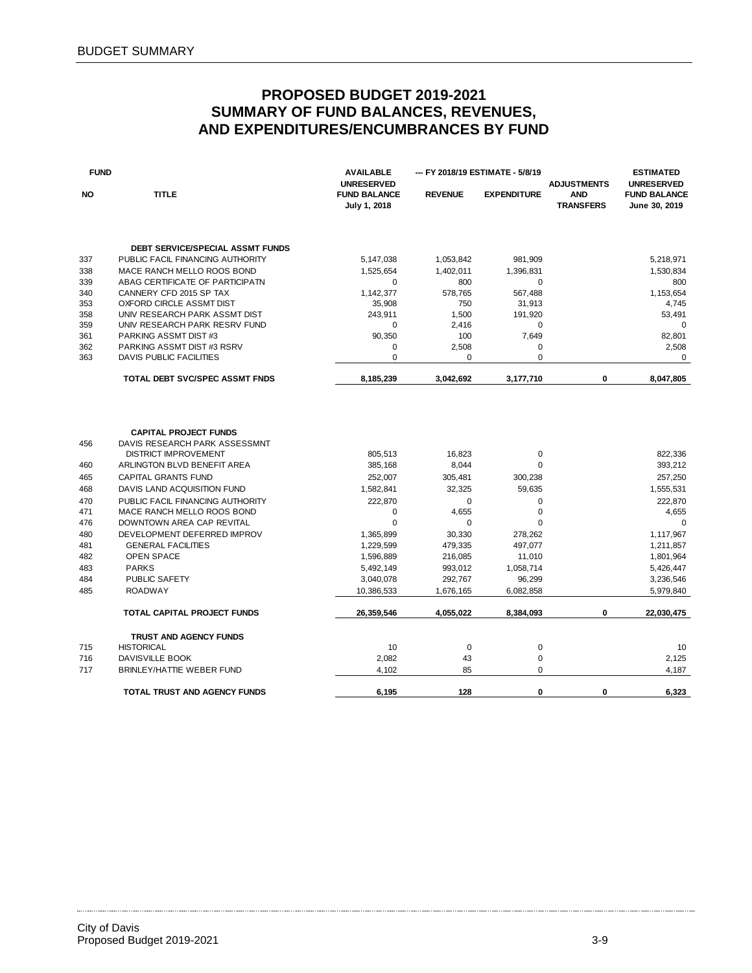| <b>FUND</b> |                                                               | <b>AVAILABLE</b><br><b>UNRESERVED</b> |                | -- FY 2018/19 ESTIMATE - 5/8/19 | <b>ADJUSTMENTS</b>             | <b>ESTIMATED</b><br><b>UNRESERVED</b> |
|-------------|---------------------------------------------------------------|---------------------------------------|----------------|---------------------------------|--------------------------------|---------------------------------------|
| <b>NO</b>   | <b>TITLE</b>                                                  | <b>FUND BALANCE</b><br>July 1, 2018   | <b>REVENUE</b> | <b>EXPENDITURE</b>              | <b>AND</b><br><b>TRANSFERS</b> | <b>FUND BALANCE</b><br>June 30, 2019  |
|             | <b>DEBT SERVICE/SPECIAL ASSMT FUNDS</b>                       |                                       |                |                                 |                                |                                       |
| 337         | PUBLIC FACIL FINANCING AUTHORITY                              | 5,147,038                             | 1,053,842      | 981,909                         |                                | 5,218,971                             |
| 338         | MACE RANCH MELLO ROOS BOND                                    | 1,525,654                             | 1,402,011      | 1,396,831                       |                                | 1,530,834                             |
| 339         | ABAG CERTIFICATE OF PARTICIPATN                               | 0                                     | 800            | $\mathbf 0$                     |                                | 800                                   |
| 340         | CANNERY CFD 2015 SP TAX                                       | 1,142,377                             | 578,765        | 567,488                         |                                | 1,153,654                             |
| 353         | OXFORD CIRCLE ASSMT DIST                                      | 35,908                                | 750            | 31,913                          |                                | 4,745                                 |
| 358         | UNIV RESEARCH PARK ASSMT DIST                                 | 243,911                               | 1,500          | 191,920                         |                                | 53,491                                |
| 359         | UNIV RESEARCH PARK RESRV FUND                                 | $\mathbf 0$                           | 2,416          | $\mathbf 0$                     |                                | $\mathbf 0$                           |
| 361         | PARKING ASSMT DIST#3                                          | 90,350                                | 100            | 7,649                           |                                | 82,801                                |
| 362         | PARKING ASSMT DIST #3 RSRV                                    | 0                                     | 2,508          | 0                               |                                | 2,508                                 |
| 363         | <b>DAVIS PUBLIC FACILITIES</b>                                | $\mathbf 0$                           | $\mathbf 0$    | $\mathbf 0$                     |                                | $\mathbf 0$                           |
|             | TOTAL DEBT SVC/SPEC ASSMT FNDS                                | 8,185,239                             | 3,042,692      | 3,177,710                       | 0                              | 8,047,805                             |
|             |                                                               |                                       |                |                                 |                                |                                       |
| 456         | <b>CAPITAL PROJECT FUNDS</b><br>DAVIS RESEARCH PARK ASSESSMNT |                                       |                |                                 |                                |                                       |
|             | <b>DISTRICT IMPROVEMENT</b>                                   | 805,513                               | 16,823         | $\mathbf 0$                     |                                | 822,336                               |
| 460         | ARLINGTON BLVD BENEFIT AREA                                   | 385,168                               | 8,044          | $\mathbf 0$                     |                                | 393,212                               |
| 465         | <b>CAPITAL GRANTS FUND</b>                                    | 252,007                               | 305,481        | 300,238                         |                                | 257,250                               |
| 468         | DAVIS LAND ACQUISITION FUND                                   | 1,582,841                             | 32,325         | 59,635                          |                                | 1,555,531                             |
| 470         | PUBLIC FACIL FINANCING AUTHORITY                              | 222,870                               | $\mathbf 0$    | $\mathbf 0$                     |                                | 222,870                               |
| 471         | MACE RANCH MELLO ROOS BOND                                    | $\mathbf 0$                           | 4,655          | $\mathbf 0$                     |                                | 4,655                                 |
| 476         | DOWNTOWN AREA CAP REVITAL                                     | $\mathbf 0$                           | $\mathbf 0$    | $\mathbf 0$                     |                                | $\mathbf 0$                           |
| 480         | DEVELOPMENT DEFERRED IMPROV                                   | 1,365,899                             | 30,330         | 278,262                         |                                | 1,117,967                             |
| 481         | <b>GENERAL FACILITIES</b>                                     | 1,229,599                             | 479,335        | 497,077                         |                                | 1,211,857                             |
| 482         | <b>OPEN SPACE</b>                                             | 1,596,889                             | 216,085        | 11,010                          |                                | 1,801,964                             |
| 483         | <b>PARKS</b>                                                  | 5,492,149                             | 993,012        | 1,058,714                       |                                | 5,426,447                             |
| 484         | PUBLIC SAFETY                                                 | 3,040,078                             | 292,767        | 96,299                          |                                | 3,236,546                             |
| 485         | <b>ROADWAY</b>                                                | 10,386,533                            | 1,676,165      | 6,082,858                       |                                | 5,979,840                             |
|             | <b>TOTAL CAPITAL PROJECT FUNDS</b>                            | 26,359,546                            | 4,055,022      | 8,384,093                       | 0                              | 22,030,475                            |
|             | <b>TRUST AND AGENCY FUNDS</b>                                 |                                       |                |                                 |                                |                                       |
| 715         | <b>HISTORICAL</b>                                             | 10                                    | $\mathbf 0$    | $\pmb{0}$                       |                                | 10                                    |
| 716         | DAVISVILLE BOOK                                               | 2,082                                 | 43             | $\bf 0$                         |                                | 2,125                                 |
| 717         | BRINLEY/HATTIE WEBER FUND                                     | 4,102                                 | 85             | $\mathbf 0$                     |                                | 4,187                                 |
|             | TOTAL TRUST AND AGENCY FUNDS                                  | 6,195                                 | 128            | 0                               | 0                              | 6,323                                 |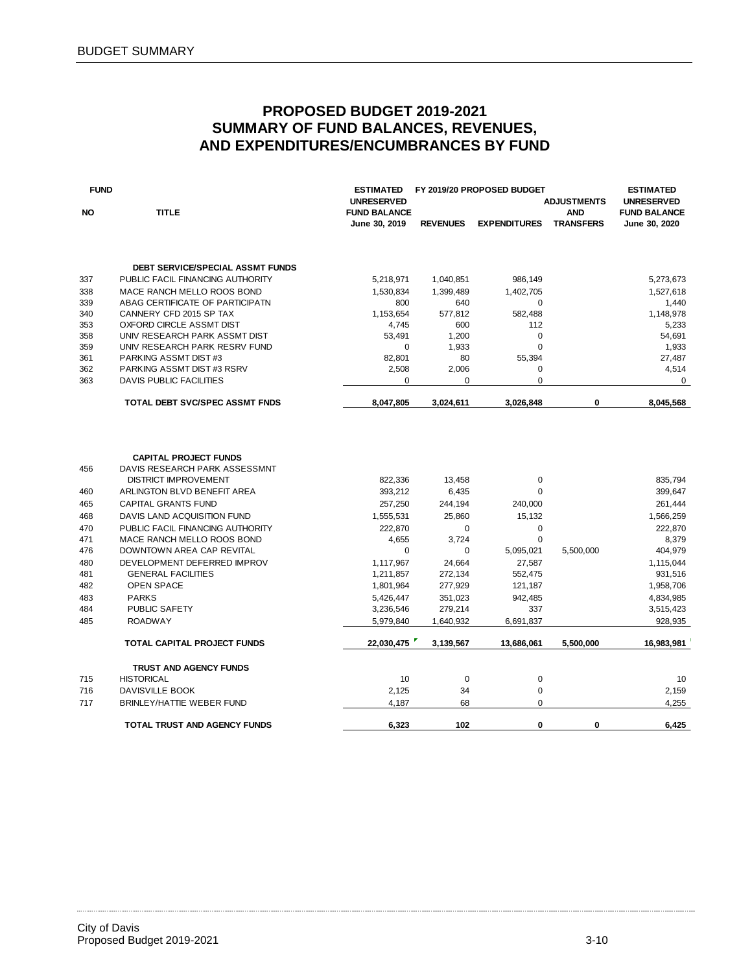| <b>FUND</b> |                                                          | <b>ESTIMATED</b><br><b>UNRESERVED</b> |                   | FY 2019/20 PROPOSED BUDGET | <b>ADJUSTMENTS</b>             | <b>ESTIMATED</b><br><b>UNRESERVED</b> |
|-------------|----------------------------------------------------------|---------------------------------------|-------------------|----------------------------|--------------------------------|---------------------------------------|
| NO          | <b>TITLE</b>                                             | <b>FUND BALANCE</b><br>June 30, 2019  | <b>REVENUES</b>   | <b>EXPENDITURES</b>        | <b>AND</b><br><b>TRANSFERS</b> | <b>FUND BALANCE</b><br>June 30, 2020  |
|             |                                                          |                                       |                   |                            |                                |                                       |
|             | DEBT SERVICE/SPECIAL ASSMT FUNDS                         |                                       |                   |                            |                                |                                       |
| 337         | PUBLIC FACIL FINANCING AUTHORITY                         | 5,218,971                             | 1,040,851         | 986,149                    |                                | 5,273,673                             |
| 338         | MACE RANCH MELLO ROOS BOND                               | 1,530,834                             | 1,399,489         | 1,402,705                  |                                | 1,527,618                             |
| 339         | ABAG CERTIFICATE OF PARTICIPATN                          | 800                                   | 640               | $\mathbf 0$                |                                | 1,440                                 |
| 340         | CANNERY CFD 2015 SP TAX                                  | 1,153,654                             | 577,812           | 582,488                    |                                | 1,148,978                             |
| 353         | OXFORD CIRCLE ASSMT DIST                                 | 4,745                                 | 600               | 112                        |                                | 5,233                                 |
| 358         | UNIV RESEARCH PARK ASSMT DIST                            | 53,491                                | 1,200             | $\mathbf 0$                |                                | 54,691                                |
| 359         | UNIV RESEARCH PARK RESRV FUND                            | $\mathbf 0$                           | 1,933             | $\mathbf 0$                |                                | 1,933                                 |
| 361         | PARKING ASSMT DIST#3                                     | 82,801                                | 80                | 55,394                     |                                | 27,487                                |
| 362         | PARKING ASSMT DIST#3 RSRV                                | 2,508                                 | 2,006             | 0                          |                                | 4,514                                 |
| 363         | <b>DAVIS PUBLIC FACILITIES</b>                           | 0                                     | $\mathbf 0$       | $\mathbf 0$                |                                | 0                                     |
|             | <b>TOTAL DEBT SVC/SPEC ASSMT FNDS</b>                    | 8,047,805                             | 3,024,611         | 3,026,848                  | 0                              | 8,045,568                             |
|             |                                                          |                                       |                   |                            |                                |                                       |
|             | <b>CAPITAL PROJECT FUNDS</b>                             |                                       |                   |                            |                                |                                       |
| 456         | DAVIS RESEARCH PARK ASSESSMNT                            |                                       |                   |                            |                                |                                       |
|             | <b>DISTRICT IMPROVEMENT</b>                              | 822,336                               | 13,458            | 0                          |                                | 835,794                               |
| 460         | ARLINGTON BLVD BENEFIT AREA                              | 393,212                               | 6,435             | $\mathbf 0$                |                                | 399,647                               |
| 465         | <b>CAPITAL GRANTS FUND</b>                               | 257,250                               | 244,194           | 240,000                    |                                | 261,444                               |
| 468         | DAVIS LAND ACQUISITION FUND                              | 1,555,531                             | 25,860            | 15,132                     |                                | 1,566,259                             |
| 470         | PUBLIC FACIL FINANCING AUTHORITY                         | 222,870                               | $\mathbf 0$       | 0                          |                                | 222,870                               |
| 471         | MACE RANCH MELLO ROOS BOND                               | 4,655                                 | 3,724             | $\mathbf 0$                |                                | 8,379                                 |
| 476         | DOWNTOWN AREA CAP REVITAL                                | 0                                     | $\mathbf 0$       | 5,095,021                  | 5,500,000                      | 404,979                               |
|             |                                                          |                                       |                   |                            |                                |                                       |
| 480<br>481  | DEVELOPMENT DEFERRED IMPROV<br><b>GENERAL FACILITIES</b> | 1,117,967<br>1,211,857                | 24,664<br>272,134 | 27,587<br>552,475          |                                | 1,115,044<br>931,516                  |
| 482         | OPEN SPACE                                               | 1,801,964                             | 277,929           | 121,187                    |                                | 1,958,706                             |
|             |                                                          |                                       |                   |                            |                                |                                       |
| 483         | <b>PARKS</b>                                             | 5,426,447                             | 351,023           | 942,485                    |                                | 4,834,985                             |
| 484         | PUBLIC SAFETY                                            | 3,236,546                             | 279,214           | 337                        |                                | 3,515,423                             |
| 485         | <b>ROADWAY</b>                                           | 5,979,840                             | 1,640,932         | 6,691,837                  |                                | 928,935                               |
|             | TOTAL CAPITAL PROJECT FUNDS                              | 22,030,475                            | 3,139,567         | 13,686,061                 | 5,500,000                      | 16,983,981                            |
|             | <b>TRUST AND AGENCY FUNDS</b>                            |                                       |                   |                            |                                |                                       |
| 715         | <b>HISTORICAL</b>                                        | 10                                    | $\mathbf 0$       | $\pmb{0}$                  |                                | 10                                    |
| 716         | DAVISVILLE BOOK                                          | 2,125                                 | 34                | $\pmb{0}$                  |                                | 2,159                                 |
| 717         | <b>BRINLEY/HATTIE WEBER FUND</b>                         | 4,187                                 | 68                | $\mathbf 0$                |                                | 4,255                                 |
|             | TOTAL TRUST AND AGENCY FUNDS                             | 6,323                                 | 102               | 0                          | 0                              | 6,425                                 |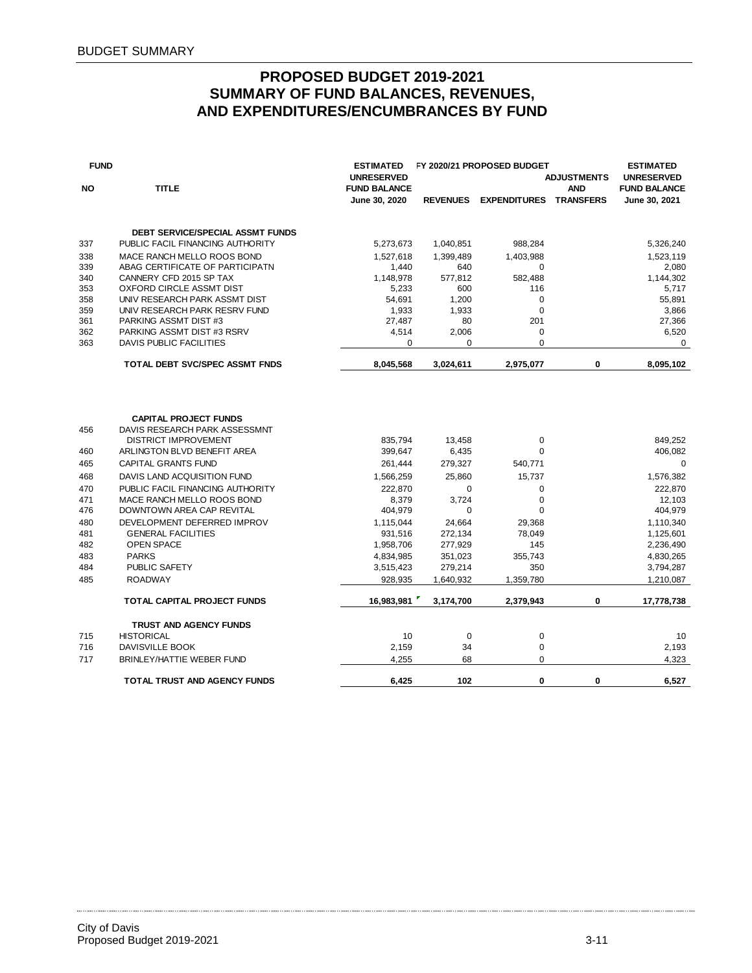| <b>FUND</b> |                                                               | <b>ESTIMATED</b>                     |                 | FY 2020/21 PROPOSED BUDGET    |                    | <b>ESTIMATED</b>                            |
|-------------|---------------------------------------------------------------|--------------------------------------|-----------------|-------------------------------|--------------------|---------------------------------------------|
|             |                                                               | <b>UNRESERVED</b>                    |                 |                               | <b>ADJUSTMENTS</b> | <b>UNRESERVED</b>                           |
| <b>NO</b>   | <b>TITLE</b>                                                  | <b>FUND BALANCE</b><br>June 30, 2020 | <b>REVENUES</b> | <b>EXPENDITURES TRANSFERS</b> | <b>AND</b>         | <b>FUND BALANCE</b><br><b>June 30, 2021</b> |
|             |                                                               |                                      |                 |                               |                    |                                             |
|             | <b>DEBT SERVICE/SPECIAL ASSMT FUNDS</b>                       |                                      |                 |                               |                    |                                             |
| 337         | PUBLIC FACIL FINANCING AUTHORITY                              | 5,273,673                            | 1,040,851       | 988,284                       |                    | 5,326,240                                   |
| 338         | MACE RANCH MELLO ROOS BOND                                    | 1,527,618                            | 1,399,489       | 1,403,988                     |                    | 1,523,119                                   |
| 339         | ABAG CERTIFICATE OF PARTICIPATN                               | 1,440                                | 640             | 0                             |                    | 2,080                                       |
| 340         | CANNERY CFD 2015 SP TAX                                       | 1,148,978                            | 577,812         | 582,488                       |                    | 1,144,302                                   |
| 353         | OXFORD CIRCLE ASSMT DIST                                      | 5,233                                | 600             | 116                           |                    | 5,717                                       |
| 358         | UNIV RESEARCH PARK ASSMT DIST                                 | 54,691                               | 1,200           | 0                             |                    | 55,891                                      |
| 359         | UNIV RESEARCH PARK RESRV FUND                                 | 1,933                                | 1,933           | $\mathbf 0$                   |                    | 3,866                                       |
| 361         | PARKING ASSMT DIST #3                                         | 27,487                               | 80              | 201                           |                    | 27,366                                      |
| 362         | PARKING ASSMT DIST #3 RSRV                                    | 4,514                                | 2,006           | 0                             |                    | 6,520                                       |
| 363         | <b>DAVIS PUBLIC FACILITIES</b>                                | 0                                    | $\mathbf 0$     | $\Omega$                      |                    | 0                                           |
|             | <b>TOTAL DEBT SVC/SPEC ASSMT FNDS</b>                         | 8.045.568                            | 3,024,611       | 2.975.077                     | 0                  | 8,095,102                                   |
| 456         | <b>CAPITAL PROJECT FUNDS</b><br>DAVIS RESEARCH PARK ASSESSMNT |                                      |                 |                               |                    |                                             |
|             | <b>DISTRICT IMPROVEMENT</b>                                   | 835,794                              | 13,458          | 0                             |                    | 849,252                                     |
| 460         | ARLINGTON BLVD BENEFIT AREA                                   | 399,647                              | 6,435           | $\Omega$                      |                    | 406,082                                     |
| 465         | CAPITAL GRANTS FUND                                           | 261,444                              | 279,327         | 540,771                       |                    | 0                                           |
| 468         | DAVIS LAND ACQUISITION FUND                                   | 1,566,259                            | 25,860          | 15,737                        |                    | 1,576,382                                   |
| 470         | PUBLIC FACIL FINANCING AUTHORITY                              | 222,870                              | 0               | $\mathbf 0$                   |                    | 222,870                                     |
| 471         | MACE RANCH MELLO ROOS BOND                                    | 8,379                                | 3,724           | $\mathbf 0$                   |                    | 12,103                                      |
| 476         | DOWNTOWN AREA CAP REVITAL                                     | 404,979                              | $\mathbf 0$     | $\overline{0}$                |                    | 404,979                                     |
| 480         | DEVELOPMENT DEFERRED IMPROV                                   | 1,115,044                            | 24,664          | 29.368                        |                    | 1,110,340                                   |
| 481         | <b>GENERAL FACILITIES</b>                                     | 931,516                              | 272,134         | 78,049                        |                    | 1,125,601                                   |
| 482         | <b>OPEN SPACE</b>                                             | 1,958,706                            | 277,929         | 145                           |                    | 2,236,490                                   |
| 483         | <b>PARKS</b>                                                  | 4,834,985                            | 351,023         | 355,743                       |                    | 4,830,265                                   |
| 484         | <b>PUBLIC SAFETY</b>                                          | 3,515,423                            | 279,214         | 350                           |                    | 3,794,287                                   |
| 485         | <b>ROADWAY</b>                                                | 928.935                              | 1,640,932       | 1,359,780                     |                    | 1.210.087                                   |
|             | <b>TOTAL CAPITAL PROJECT FUNDS</b>                            | 16,983,981                           | 3,174,700       | 2,379,943                     | 0                  | 17,778,738                                  |
|             | <b>TRUST AND AGENCY FUNDS</b>                                 |                                      |                 |                               |                    |                                             |
| 715         | <b>HISTORICAL</b>                                             | 10                                   | 0               | $\pmb{0}$                     |                    | 10                                          |
| 716         | DAVISVILLE BOOK                                               | 2,159                                | 34              | $\mathbf 0$                   |                    | 2,193                                       |
| 717         | BRINLEY/HATTIE WEBER FUND                                     | 4,255                                | 68              | $\mathbf 0$                   |                    | 4,323                                       |
|             | TOTAL TRUST AND AGENCY FUNDS                                  | 6,425                                | 102             | $\mathbf 0$                   | 0                  | 6,527                                       |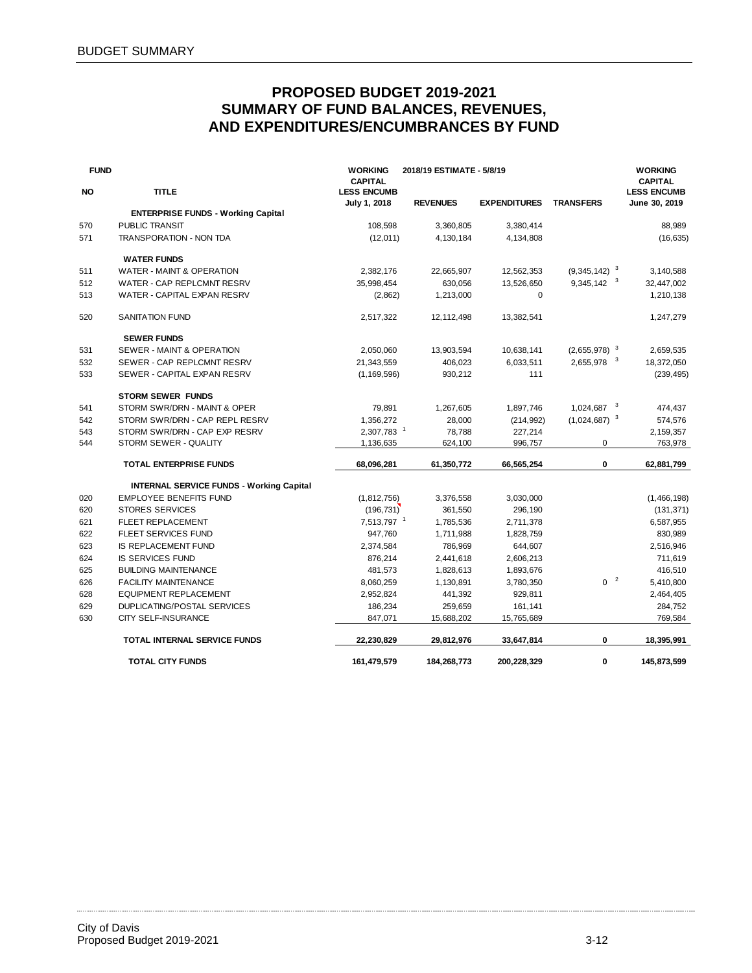| <b>FUND</b> |                                                 | <b>WORKING</b><br><b>CAPITAL</b>   | 2018/19 ESTIMATE - 5/8/19 |                     |                          | <b>WORKING</b><br><b>CAPITAL</b>    |
|-------------|-------------------------------------------------|------------------------------------|---------------------------|---------------------|--------------------------|-------------------------------------|
| <b>NO</b>   | <b>TITLE</b>                                    | <b>LESS ENCUMB</b><br>July 1, 2018 | <b>REVENUES</b>           | <b>EXPENDITURES</b> | <b>TRANSFERS</b>         | <b>LESS ENCUMB</b><br>June 30, 2019 |
|             | <b>ENTERPRISE FUNDS - Working Capital</b>       |                                    |                           |                     |                          |                                     |
| 570         | <b>PUBLIC TRANSIT</b>                           | 108,598                            | 3,360,805                 | 3,380,414           |                          | 88,989                              |
| 571         | <b>TRANSPORATION - NON TDA</b>                  | (12,011)                           | 4,130,184                 | 4,134,808           |                          | (16, 635)                           |
|             | <b>WATER FUNDS</b>                              |                                    |                           |                     |                          |                                     |
| 511         | WATER - MAINT & OPERATION                       | 2,382,176                          | 22,665,907                | 12,562,353          | $(9,345,142)^{-3}$       | 3,140,588                           |
| 512         | WATER - CAP REPLCMNT RESRV                      | 35,998,454                         | 630,056                   | 13,526,650          | 9,345,142 3              | 32,447,002                          |
| 513         | WATER - CAPITAL EXPAN RESRV                     | (2,862)                            | 1,213,000                 | $\mathbf 0$         |                          | 1,210,138                           |
| 520         | <b>SANITATION FUND</b>                          | 2,517,322                          | 12,112,498                | 13,382,541          |                          | 1,247,279                           |
|             | <b>SEWER FUNDS</b>                              |                                    |                           |                     |                          |                                     |
| 531         | SEWER - MAINT & OPERATION                       | 2,050,060                          | 13,903,594                | 10,638,141          | $(2,655,978)^{-3}$       | 2,659,535                           |
| 532         | SEWER - CAP REPLCMNT RESRV                      | 21,343,559                         | 406,023                   | 6,033,511           | 2,655,978 3              | 18,372,050                          |
| 533         | SEWER - CAPITAL EXPAN RESRV                     | (1, 169, 596)                      | 930,212                   | 111                 |                          | (239, 495)                          |
|             | <b>STORM SEWER FUNDS</b>                        |                                    |                           |                     |                          |                                     |
| 541         | STORM SWR/DRN - MAINT & OPER                    | 79,891                             | 1,267,605                 | 1,897,746           | $1,024,687$ <sup>3</sup> | 474,437                             |
| 542         | STORM SWR/DRN - CAP REPL RESRV                  | 1,356,272                          | 28,000                    | (214, 992)          | $(1,024,687)^{-3}$       | 574,576                             |
| 543         | STORM SWR/DRN - CAP EXP RESRV                   | 2,307,783 1                        | 78,788                    | 227,214             |                          | 2,159,357                           |
| 544         | STORM SEWER - QUALITY                           | 1,136,635                          | 624,100                   | 996,757             | 0                        | 763,978                             |
|             | <b>TOTAL ENTERPRISE FUNDS</b>                   | 68,096,281                         | 61,350,772                | 66,565,254          | 0                        | 62,881,799                          |
|             | <b>INTERNAL SERVICE FUNDS - Working Capital</b> |                                    |                           |                     |                          |                                     |
| 020         | <b>EMPLOYEE BENEFITS FUND</b>                   | (1,812,756)                        | 3,376,558                 | 3,030,000           |                          | (1,466,198)                         |
| 620         | <b>STORES SERVICES</b>                          | (196, 731)                         | 361,550                   | 296,190             |                          | (131, 371)                          |
| 621         | <b>FLEET REPLACEMENT</b>                        | 7,513,797 <sup>1</sup>             | 1,785,536                 | 2,711,378           |                          | 6,587,955                           |
| 622         | <b>FLEET SERVICES FUND</b>                      | 947,760                            | 1,711,988                 | 1,828,759           |                          | 830,989                             |
| 623         | IS REPLACEMENT FUND                             | 2,374,584                          | 786,969                   | 644,607             |                          | 2,516,946                           |
| 624         | <b>IS SERVICES FUND</b>                         | 876,214                            | 2,441,618                 | 2,606,213           |                          | 711,619                             |
| 625         | <b>BUILDING MAINTENANCE</b>                     | 481,573                            | 1,828,613                 | 1,893,676           |                          | 416,510                             |
| 626         | <b>FACILITY MAINTENANCE</b>                     | 8,060,259                          | 1,130,891                 | 3,780,350           | 0 <sup>2</sup>           | 5,410,800                           |
| 628         | EQUIPMENT REPLACEMENT                           | 2,952,824                          | 441,392                   | 929,811             |                          | 2,464,405                           |
| 629         | <b>DUPLICATING/POSTAL SERVICES</b>              | 186,234                            | 259,659                   | 161,141             |                          | 284,752                             |
| 630         | <b>CITY SELF-INSURANCE</b>                      | 847,071                            | 15,688,202                | 15,765,689          |                          | 769,584                             |
|             | <b>TOTAL INTERNAL SERVICE FUNDS</b>             | 22,230,829                         | 29,812,976                | 33,647,814          | 0                        | 18,395,991                          |
|             | <b>TOTAL CITY FUNDS</b>                         | 161,479,579                        | 184,268,773               | 200,228,329         | 0                        | 145,873,599                         |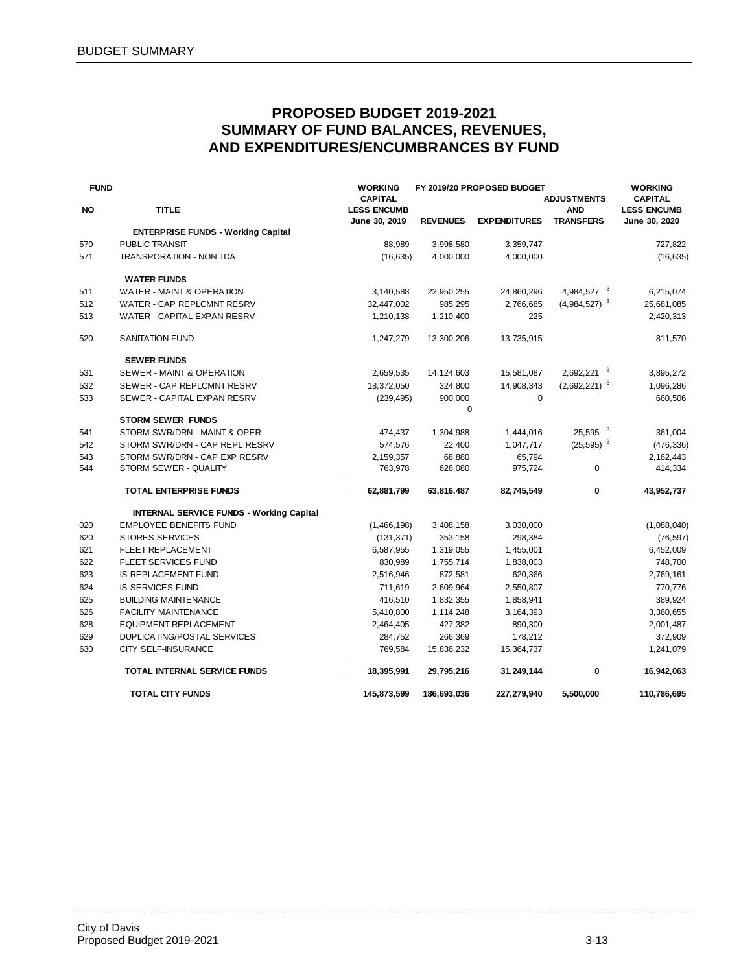| <b>FUND</b> |                                                 | <b>WORKING</b><br><b>CAPITAL</b>    |                 | FY 2019/20 PROPOSED BUDGET | <b>ADJUSTMENTS</b>             | <b>WORKING</b><br><b>CAPITAL</b>    |
|-------------|-------------------------------------------------|-------------------------------------|-----------------|----------------------------|--------------------------------|-------------------------------------|
| NO          | <b>TITLE</b>                                    | <b>LESS ENCUMB</b><br>June 30, 2019 | <b>REVENUES</b> | <b>EXPENDITURES</b>        | <b>AND</b><br><b>TRANSFERS</b> | <b>LESS ENCUMB</b><br>June 30, 2020 |
|             | <b>ENTERPRISE FUNDS - Working Capital</b>       |                                     |                 |                            |                                |                                     |
| 570         | <b>PUBLIC TRANSIT</b>                           | 88,989                              | 3,998,580       | 3,359,747                  |                                | 727,822                             |
| 571         | <b>TRANSPORATION - NON TDA</b>                  | (16, 635)                           | 4,000,000       | 4,000,000                  |                                | (16, 635)                           |
|             | <b>WATER FUNDS</b>                              |                                     |                 |                            |                                |                                     |
| 511         | WATER - MAINT & OPERATION                       | 3,140,588                           | 22,950,255      | 24,860,296                 | 4,984,527 3                    | 6,215,074                           |
| 512         | WATER - CAP REPLCMNT RESRV                      | 32,447,002                          | 985,295         | 2,766,685                  | $(4,984,527)^{3}$              | 25,681,085                          |
| 513         | WATER - CAPITAL EXPAN RESRV                     | 1,210,138                           | 1,210,400       | 225                        |                                | 2,420,313                           |
| 520         | <b>SANITATION FUND</b>                          | 1,247,279                           | 13,300,206      | 13,735,915                 |                                | 811,570                             |
|             | <b>SEWER FUNDS</b>                              |                                     |                 |                            |                                |                                     |
| 531         | SEWER - MAINT & OPERATION                       | 2,659,535                           | 14,124,603      | 15,581,087                 | 2,692,221 3                    | 3,895,272                           |
| 532         | SEWER - CAP REPLCMNT RESRV                      | 18,372,050                          | 324,800         | 14,908,343                 | $(2,692,221)^3$                | 1,096,286                           |
| 533         | SEWER - CAPITAL EXPAN RESRV                     | (239, 495)                          | 900,000         | $\mathbf 0$                |                                | 660,506                             |
|             |                                                 |                                     | 0               |                            |                                |                                     |
|             | <b>STORM SEWER FUNDS</b>                        |                                     |                 |                            |                                |                                     |
| 541         | STORM SWR/DRN - MAINT & OPER                    | 474,437                             | 1,304,988       | 1,444,016                  | $25,595$ <sup>3</sup>          | 361,004                             |
| 542         | STORM SWR/DRN - CAP REPL RESRV                  | 574,576                             | 22,400          | 1,047,717                  | $(25, 595)^{3}$                | (476, 336)                          |
| 543         | STORM SWR/DRN - CAP EXP RESRV                   | 2,159,357                           | 68,880          | 65,794                     |                                | 2,162,443                           |
| 544         | STORM SEWER - QUALITY                           | 763,978                             | 626,080         | 975,724                    | 0                              | 414,334                             |
|             | TOTAL ENTERPRISE FUNDS                          | 62,881,799                          | 63,816,487      | 82,745,549                 | 0                              | 43,952,737                          |
|             | <b>INTERNAL SERVICE FUNDS - Working Capital</b> |                                     |                 |                            |                                |                                     |
| 020         | <b>EMPLOYEE BENEFITS FUND</b>                   | (1,466,198)                         | 3,408,158       | 3,030,000                  |                                | (1,088,040)                         |
| 620         | <b>STORES SERVICES</b>                          | (131, 371)                          | 353,158         | 298,384                    |                                | (76, 597)                           |
| 621         | FLEET REPLACEMENT                               | 6,587,955                           | 1,319,055       | 1,455,001                  |                                | 6,452,009                           |
| 622         | <b>FLEET SERVICES FUND</b>                      | 830,989                             | 1,755,714       | 1,838,003                  |                                | 748,700                             |
| 623         | IS REPLACEMENT FUND                             | 2,516,946                           | 872,581         | 620,366                    |                                | 2,769,161                           |
| 624         | <b>IS SERVICES FUND</b>                         | 711,619                             | 2,609,964       | 2,550,807                  |                                | 770,776                             |
| 625         | <b>BUILDING MAINTENANCE</b>                     | 416,510                             | 1,832,355       | 1,858,941                  |                                | 389,924                             |
| 626         | <b>FACILITY MAINTENANCE</b>                     | 5,410,800                           | 1,114,248       | 3,164,393                  |                                | 3,360,655                           |
| 628         | <b>EQUIPMENT REPLACEMENT</b>                    | 2,464,405                           | 427,382         | 890,300                    |                                | 2,001,487                           |
| 629         | <b>DUPLICATING/POSTAL SERVICES</b>              | 284,752                             | 266,369         | 178,212                    |                                | 372,909                             |
| 630         | CITY SELF-INSURANCE                             | 769,584                             | 15,836,232      | 15,364,737                 |                                | 1,241,079                           |
|             | TOTAL INTERNAL SERVICE FUNDS                    | 18,395,991                          | 29,795,216      | 31,249,144                 | 0                              | 16,942,063                          |
|             | <b>TOTAL CITY FUNDS</b>                         | 145,873,599                         | 186,693,036     | 227,279,940                | 5,500,000                      | 110,786,695                         |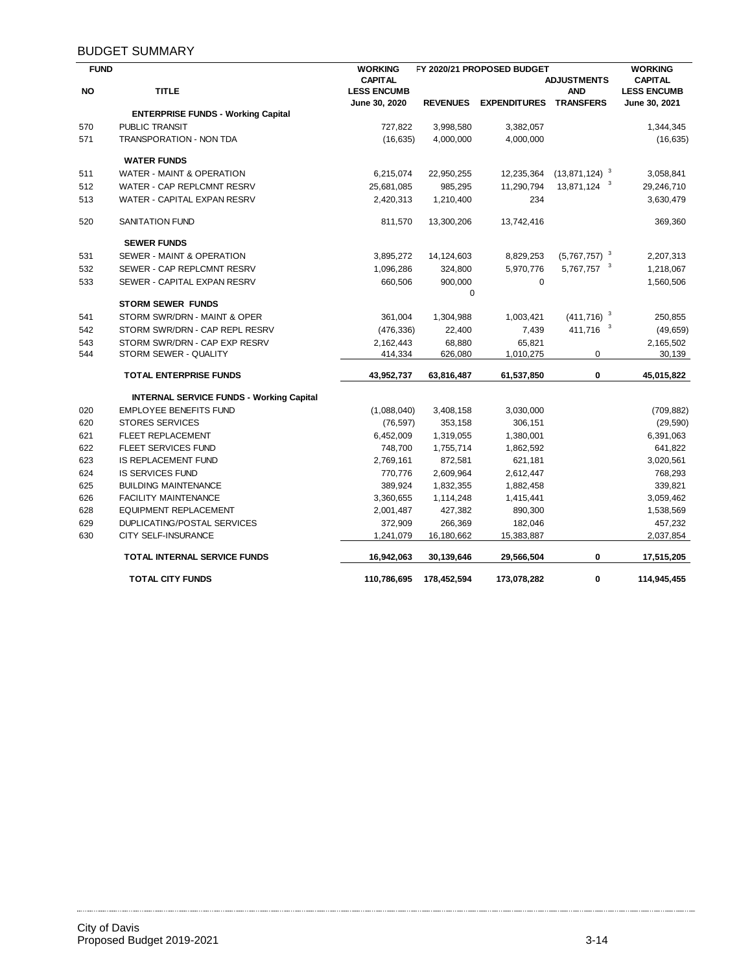### BUDGET SUMMARY

| <b>FUND</b> |                                                 | <b>WORKING</b>     |                 | FY 2020/21 PROPOSED BUDGET |                                    | <b>WORKING</b>     |
|-------------|-------------------------------------------------|--------------------|-----------------|----------------------------|------------------------------------|--------------------|
|             |                                                 | <b>CAPITAL</b>     |                 |                            | <b>ADJUSTMENTS</b>                 | <b>CAPITAL</b>     |
| <b>NO</b>   | <b>TITLE</b>                                    | <b>LESS ENCUMB</b> |                 |                            | <b>AND</b>                         | <b>LESS ENCUMB</b> |
|             |                                                 | June 30, 2020      | <b>REVENUES</b> | <b>EXPENDITURES</b>        | <b>TRANSFERS</b>                   | June 30, 2021      |
|             | <b>ENTERPRISE FUNDS - Working Capital</b>       |                    |                 |                            |                                    |                    |
| 570         | <b>PUBLIC TRANSIT</b>                           | 727,822            | 3,998,580       | 3,382,057                  |                                    | 1,344,345          |
| 571         | TRANSPORATION - NON TDA                         | (16, 635)          | 4,000,000       | 4,000,000                  |                                    | (16, 635)          |
|             | <b>WATER FUNDS</b>                              |                    |                 |                            |                                    |                    |
| 511         | <b>WATER - MAINT &amp; OPERATION</b>            | 6,215,074          | 22,950,255      | 12,235,364                 | $(13, 871, 124)^{3}$               | 3,058,841          |
| 512         | WATER - CAP REPLCMNT RESRV                      | 25,681,085         | 985,295         | 11,290,794                 | 13,871,124 3                       | 29,246,710         |
| 513         | WATER - CAPITAL EXPAN RESRV                     | 2,420,313          | 1,210,400       | 234                        |                                    | 3,630,479          |
| 520         | <b>SANITATION FUND</b>                          | 811,570            | 13,300,206      | 13,742,416                 |                                    | 369,360            |
|             | <b>SEWER FUNDS</b>                              |                    |                 |                            |                                    |                    |
| 531         | SEWER - MAINT & OPERATION                       | 3,895,272          | 14,124,603      | 8,829,253                  | $(5,767,757)^{3}$                  | 2,207,313          |
| 532         | SEWER - CAP REPLCMNT RESRV                      | 1,096,286          | 324,800         | 5,970,776                  | 5,767,757 3                        | 1,218,067          |
| 533         | SEWER - CAPITAL EXPAN RESRV                     | 660,506            | 900,000         | $\mathbf 0$                |                                    | 1,560,506          |
|             |                                                 |                    | 0               |                            |                                    |                    |
|             | <b>STORM SEWER FUNDS</b>                        |                    |                 |                            |                                    |                    |
| 541         | STORM SWR/DRN - MAINT & OPER                    | 361,004            | 1,304,988       | 1,003,421                  | $(411,716)^3$                      | 250,855            |
| 542         | STORM SWR/DRN - CAP REPL RESRV                  | (476, 336)         | 22,400          | 7,439                      | $\overline{\mathbf{3}}$<br>411,716 | (49, 659)          |
| 543         | STORM SWR/DRN - CAP EXP RESRV                   | 2,162,443          | 68,880          | 65,821                     |                                    | 2,165,502          |
| 544         | STORM SEWER - QUALITY                           | 414,334            | 626,080         | 1,010,275                  | 0                                  | 30,139             |
|             | <b>TOTAL ENTERPRISE FUNDS</b>                   | 43,952,737         | 63,816,487      | 61,537,850                 | 0                                  | 45,015,822         |
|             | <b>INTERNAL SERVICE FUNDS - Working Capital</b> |                    |                 |                            |                                    |                    |
| 020         | <b>EMPLOYEE BENEFITS FUND</b>                   | (1,088,040)        | 3,408,158       | 3,030,000                  |                                    | (709, 882)         |
| 620         | <b>STORES SERVICES</b>                          | (76, 597)          | 353,158         | 306,151                    |                                    | (29, 590)          |
| 621         | <b>FLEET REPLACEMENT</b>                        | 6,452,009          | 1,319,055       | 1,380,001                  |                                    | 6,391,063          |
| 622         | FLEET SERVICES FUND                             | 748,700            | 1,755,714       | 1,862,592                  |                                    | 641,822            |
| 623         | IS REPLACEMENT FUND                             | 2,769,161          | 872,581         | 621,181                    |                                    | 3,020,561          |
| 624         | <b>IS SERVICES FUND</b>                         | 770,776            | 2,609,964       | 2,612,447                  |                                    | 768,293            |
| 625         | <b>BUILDING MAINTENANCE</b>                     | 389,924            | 1,832,355       | 1,882,458                  |                                    | 339,821            |
| 626         | <b>FACILITY MAINTENANCE</b>                     | 3,360,655          | 1,114,248       | 1,415,441                  |                                    | 3,059,462          |
| 628         | <b>EQUIPMENT REPLACEMENT</b>                    | 2,001,487          | 427,382         | 890,300                    |                                    | 1,538,569          |
| 629         | <b>DUPLICATING/POSTAL SERVICES</b>              | 372,909            | 266,369         | 182,046                    |                                    | 457,232            |
| 630         | <b>CITY SELF-INSURANCE</b>                      | 1,241,079          | 16,180,662      | 15,383,887                 |                                    | 2,037,854          |
|             | TOTAL INTERNAL SERVICE FUNDS                    | 16,942,063         | 30,139,646      | 29,566,504                 | 0                                  | 17,515,205         |
|             | <b>TOTAL CITY FUNDS</b>                         | 110,786,695        | 178,452,594     | 173,078,282                | 0                                  | 114,945,455        |

. . . . . . . . . . .

. . . . . . . . . . . . . . . . . .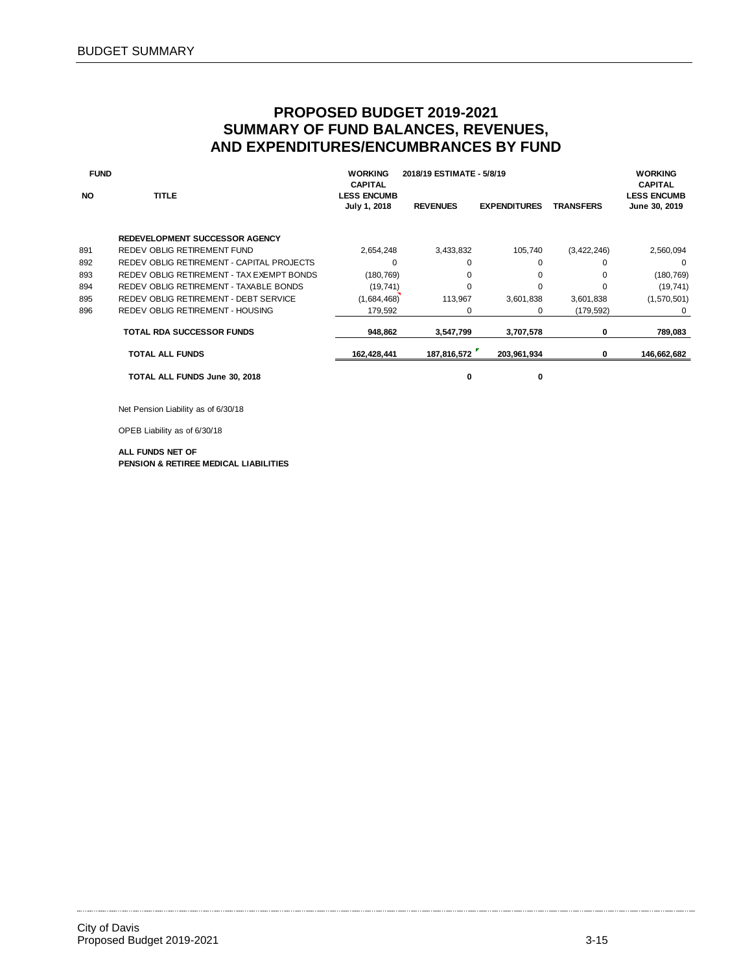| <b>FUND</b> |                                           | <b>WORKING</b><br><b>CAPITAL</b>   | 2018/19 ESTIMATE - 5/8/19 |                     |                  | <b>WORKING</b><br><b>CAPITAL</b>    |
|-------------|-------------------------------------------|------------------------------------|---------------------------|---------------------|------------------|-------------------------------------|
| <b>NO</b>   | <b>TITLE</b>                              | <b>LESS ENCUMB</b><br>July 1, 2018 | <b>REVENUES</b>           | <b>EXPENDITURES</b> | <b>TRANSFERS</b> | <b>LESS ENCUMB</b><br>June 30, 2019 |
|             | REDEVELOPMENT SUCCESSOR AGENCY            |                                    |                           |                     |                  |                                     |
| 891         | REDEV OBLIG RETIREMENT FUND               | 2,654,248                          | 3,433,832                 | 105,740             | (3,422,246)      | 2,560,094                           |
| 892         | REDEV OBLIG RETIREMENT - CAPITAL PROJECTS | 0                                  | 0                         | 0                   | $\Omega$         | 0                                   |
| 893         | REDEV OBLIG RETIREMENT - TAX EXEMPT BONDS | (180, 769)                         | 0                         | 0                   | 0                | (180, 769)                          |
| 894         | REDEV OBLIG RETIREMENT - TAXABLE BONDS    | (19, 741)                          | $\Omega$                  | 0                   | $\Omega$         | (19, 741)                           |
| 895         | REDEV OBLIG RETIREMENT - DEBT SERVICE     | (1,684,468)                        | 113,967                   | 3,601,838           | 3,601,838        | (1,570,501)                         |
| 896         | REDEV OBLIG RETIREMENT - HOUSING          | 179,592                            | 0                         | 0                   | (179, 592)       | 0                                   |
|             | <b>TOTAL RDA SUCCESSOR FUNDS</b>          | 948.862                            | 3,547,799                 | 3,707,578           | 0                | 789,083                             |
|             | <b>TOTAL ALL FUNDS</b>                    | 162,428,441                        | 187,816,572               | 203,961,934         | 0                | 146,662,682                         |
|             | TOTAL ALL FUNDS June 30, 2018             |                                    | O                         | 0                   |                  |                                     |

Net Pension Liability as of 6/30/18

OPEB Liability as of 6/30/18

#### **ALL FUNDS NET OF PENSION & RETIREE MEDICAL LIABILITIES**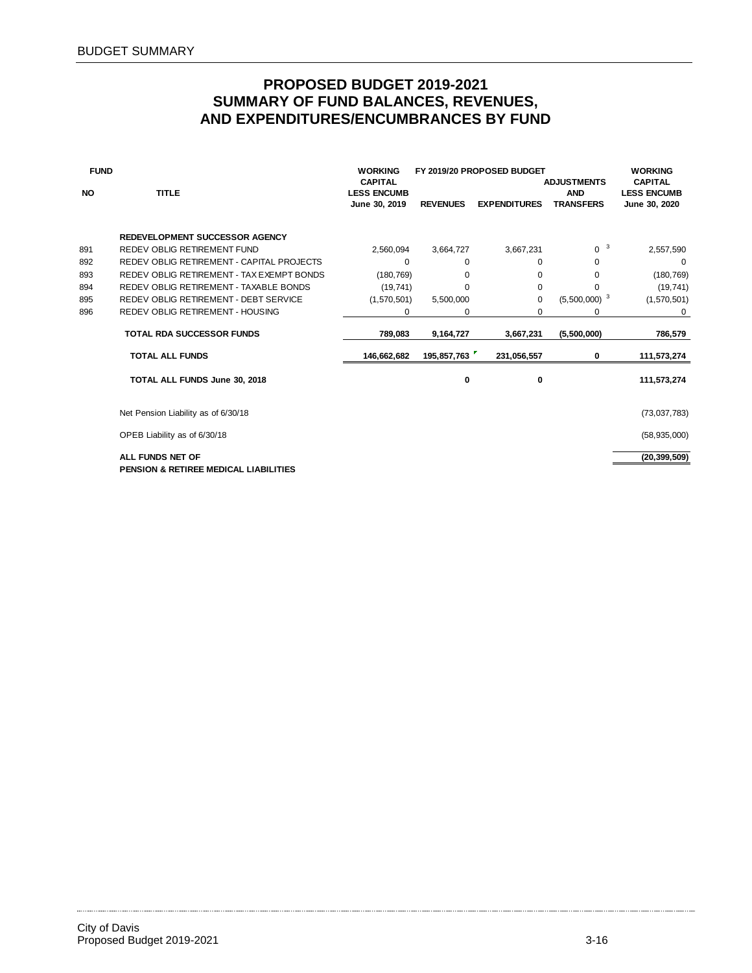| <b>FUND</b> |                                                  | <b>WORKING</b><br><b>CAPITAL</b>    |                 | FY 2019/20 PROPOSED BUDGET | <b>ADJUSTMENTS</b>             | <b>WORKING</b><br><b>CAPITAL</b>    |
|-------------|--------------------------------------------------|-------------------------------------|-----------------|----------------------------|--------------------------------|-------------------------------------|
| <b>NO</b>   | <b>TITLE</b>                                     | <b>LESS ENCUMB</b><br>June 30, 2019 | <b>REVENUES</b> | <b>EXPENDITURES</b>        | <b>AND</b><br><b>TRANSFERS</b> | <b>LESS ENCUMB</b><br>June 30, 2020 |
|             | REDEVELOPMENT SUCCESSOR AGENCY                   |                                     |                 |                            |                                |                                     |
| 891         | REDEV OBLIG RETIREMENT FUND                      | 2,560,094                           | 3,664,727       | 3,667,231                  | 3<br>0                         | 2,557,590                           |
| 892         | REDEV OBLIG RETIREMENT - CAPITAL PROJECTS        | $\Omega$                            | $\Omega$        | $\Omega$                   | $\Omega$                       | 0                                   |
| 893         | REDEV OBLIG RETIREMENT - TAX EXEMPT BONDS        | (180, 769)                          | 0               | 0                          | 0                              | (180, 769)                          |
| 894         | REDEV OBLIG RETIREMENT - TAXABLE BONDS           | (19, 741)                           | $\Omega$        | 0                          | $\Omega$                       | (19, 741)                           |
| 895         | REDEV OBLIG RETIREMENT - DEBT SERVICE            | (1,570,501)                         | 5,500,000       | $\mathbf 0$                | $(5,500,000)^3$                | (1,570,501)                         |
| 896         | <b>REDEV OBLIG RETIREMENT - HOUSING</b>          | 0                                   | 0               | 0                          | 0                              | 0                                   |
|             | <b>TOTAL RDA SUCCESSOR FUNDS</b>                 | 789,083                             | 9,164,727       | 3,667,231                  | (5,500,000)                    | 786,579                             |
|             | <b>TOTAL ALL FUNDS</b>                           | 146,662,682                         | 195,857,763     | 231,056,557                | 0                              | 111,573,274                         |
|             | TOTAL ALL FUNDS June 30, 2018                    |                                     | 0               | 0                          |                                | 111,573,274                         |
|             | Net Pension Liability as of 6/30/18              |                                     |                 |                            |                                | (73,037,783)                        |
|             | OPEB Liability as of 6/30/18                     |                                     |                 |                            |                                | (58, 935, 000)                      |
|             | ALL FUNDS NET OF                                 |                                     |                 |                            |                                | (20, 399, 509)                      |
|             | <b>PENSION &amp; RETIREE MEDICAL LIABILITIES</b> |                                     |                 |                            |                                |                                     |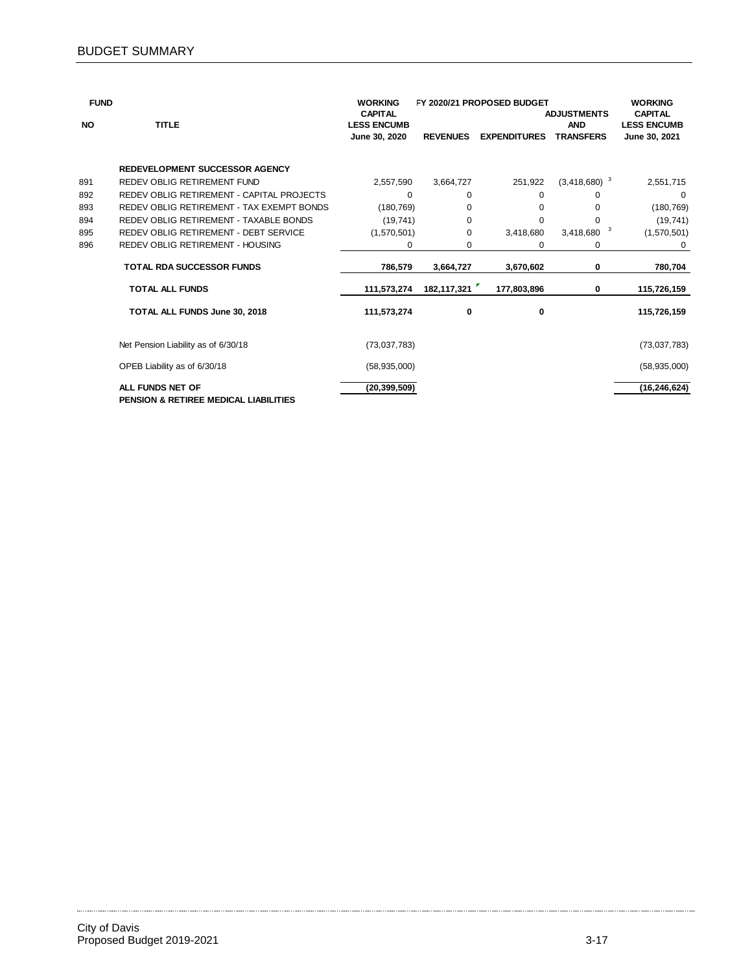| <b>FUND</b> |                                                                      | <b>WORKING</b>                                        |                 | FY 2020/21 PROPOSED BUDGET |                                                      | <b>WORKING</b>                                        |
|-------------|----------------------------------------------------------------------|-------------------------------------------------------|-----------------|----------------------------|------------------------------------------------------|-------------------------------------------------------|
| <b>NO</b>   | <b>TITLE</b>                                                         | <b>CAPITAL</b><br><b>LESS ENCUMB</b><br>June 30, 2020 | <b>REVENUES</b> | <b>EXPENDITURES</b>        | <b>ADJUSTMENTS</b><br><b>AND</b><br><b>TRANSFERS</b> | <b>CAPITAL</b><br><b>LESS ENCUMB</b><br>June 30, 2021 |
|             |                                                                      |                                                       |                 |                            |                                                      |                                                       |
|             | <b>REDEVELOPMENT SUCCESSOR AGENCY</b>                                |                                                       |                 |                            |                                                      |                                                       |
| 891         | REDEV OBLIG RETIREMENT FUND                                          | 2,557,590                                             | 3,664,727       | 251,922                    | $(3,418,680)^{-3}$                                   | 2,551,715                                             |
| 892         | REDEV OBLIG RETIREMENT - CAPITAL PROJECTS                            | 0                                                     | $\Omega$        | $\Omega$                   | 0                                                    | 0                                                     |
| 893         | REDEV OBLIG RETIREMENT - TAX EXEMPT BONDS                            | (180, 769)                                            | $\Omega$        | $\Omega$                   | $\Omega$                                             | (180, 769)                                            |
| 894         | REDEV OBLIG RETIREMENT - TAXABLE BONDS                               | (19, 741)                                             | 0               | $\Omega$                   | $\Omega$                                             | (19, 741)                                             |
| 895         | REDEV OBLIG RETIREMENT - DEBT SERVICE                                | (1,570,501)                                           | $\Omega$        | 3,418,680                  | 3<br>3,418,680                                       | (1,570,501)                                           |
| 896         | <b>REDEV OBLIG RETIREMENT - HOUSING</b>                              | 0                                                     | 0               | 0                          | 0                                                    | 0                                                     |
|             | <b>TOTAL RDA SUCCESSOR FUNDS</b>                                     | 786,579                                               | 3,664,727       | 3,670,602                  | 0                                                    | 780,704                                               |
|             | <b>TOTAL ALL FUNDS</b>                                               | 111,573,274                                           | 182,117,321     | 177,803,896                | 0                                                    | 115,726,159                                           |
|             | TOTAL ALL FUNDS June 30, 2018                                        | 111,573,274                                           | 0               | 0                          |                                                      | 115,726,159                                           |
|             | Net Pension Liability as of 6/30/18                                  | (73,037,783)                                          |                 |                            |                                                      | (73,037,783)                                          |
|             | OPEB Liability as of 6/30/18                                         | (58,935,000)                                          |                 |                            |                                                      | (58, 935, 000)                                        |
|             | ALL FUNDS NET OF<br><b>PENSION &amp; RETIREE MEDICAL LIABILITIES</b> | (20, 399, 509)                                        |                 |                            |                                                      | (16, 246, 624)                                        |

 $\ddotsc$ . . . . . . . . . .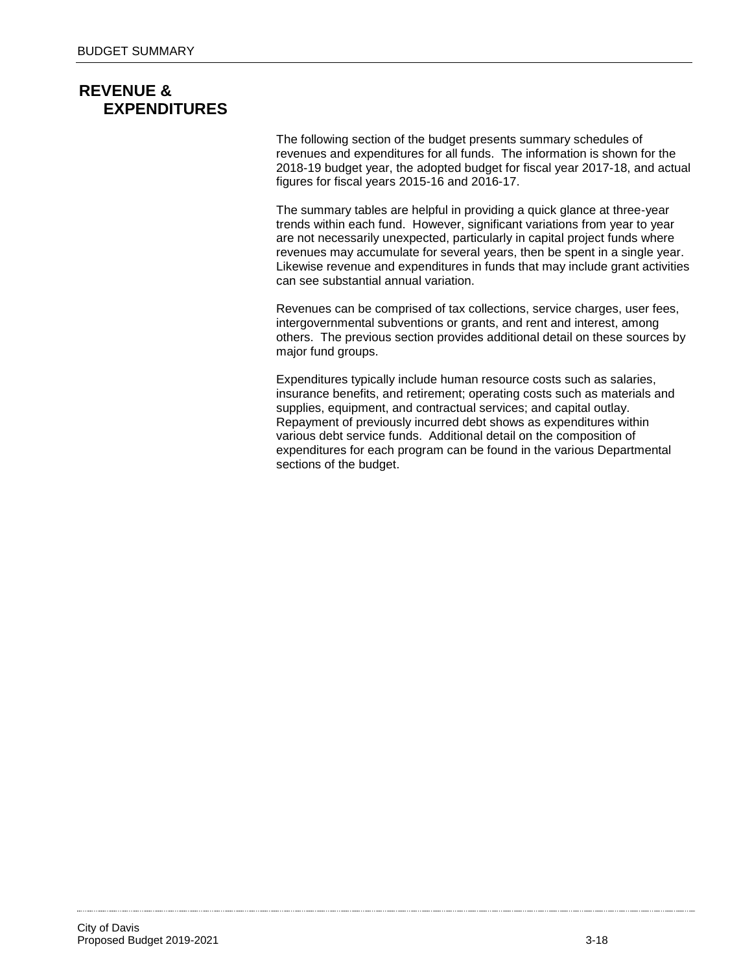# **REVENUE & EXPENDITURES**

The following section of the budget presents summary schedules of revenues and expenditures for all funds. The information is shown for the 2018-19 budget year, the adopted budget for fiscal year 2017-18, and actual figures for fiscal years 2015-16 and 2016-17.

The summary tables are helpful in providing a quick glance at three-year trends within each fund. However, significant variations from year to year are not necessarily unexpected, particularly in capital project funds where revenues may accumulate for several years, then be spent in a single year. Likewise revenue and expenditures in funds that may include grant activities can see substantial annual variation.

Revenues can be comprised of tax collections, service charges, user fees, intergovernmental subventions or grants, and rent and interest, among others. The previous section provides additional detail on these sources by major fund groups.

Expenditures typically include human resource costs such as salaries, insurance benefits, and retirement; operating costs such as materials and supplies, equipment, and contractual services; and capital outlay. Repayment of previously incurred debt shows as expenditures within various debt service funds. Additional detail on the composition of expenditures for each program can be found in the various Departmental sections of the budget.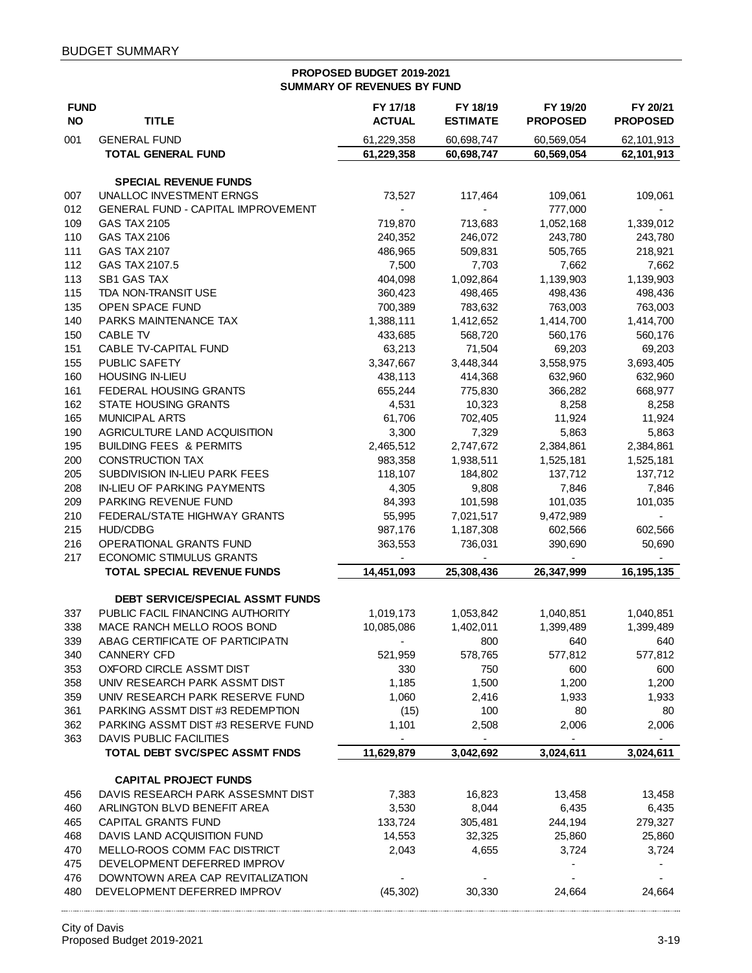#### **PROPOSED BUDGET 2019-2021 SUMMARY OF REVENUES BY FUND**

| <b>FUND</b><br><b>NO</b> | <b>TITLE</b>                              | FY 17/18<br><b>ACTUAL</b> | FY 18/19<br><b>ESTIMATE</b> | FY 19/20<br><b>PROPOSED</b> | FY 20/21<br><b>PROPOSED</b> |
|--------------------------|-------------------------------------------|---------------------------|-----------------------------|-----------------------------|-----------------------------|
| 001                      | <b>GENERAL FUND</b>                       | 61,229,358                | 60,698,747                  | 60,569,054                  | 62,101,913                  |
|                          | <b>TOTAL GENERAL FUND</b>                 | 61,229,358                | 60,698,747                  | 60,569,054                  | 62,101,913                  |
|                          |                                           |                           |                             |                             |                             |
|                          | <b>SPECIAL REVENUE FUNDS</b>              |                           |                             |                             |                             |
| 007                      | UNALLOC INVESTMENT ERNGS                  | 73,527                    | 117,464                     | 109,061                     | 109,061                     |
| 012                      | <b>GENERAL FUND - CAPITAL IMPROVEMENT</b> | $\blacksquare$            | $\frac{1}{2}$               | 777,000                     |                             |
| 109<br>110               | GAS TAX 2105<br><b>GAS TAX 2106</b>       | 719,870<br>240,352        | 713,683<br>246,072          | 1,052,168                   | 1,339,012                   |
| 111                      | <b>GAS TAX 2107</b>                       | 486,965                   | 509,831                     | 243,780<br>505,765          | 243,780<br>218,921          |
| 112                      | GAS TAX 2107.5                            | 7,500                     | 7,703                       | 7,662                       | 7,662                       |
| 113                      | SB1 GAS TAX                               | 404,098                   | 1,092,864                   | 1,139,903                   | 1,139,903                   |
| 115                      | TDA NON-TRANSIT USE                       | 360,423                   | 498,465                     | 498,436                     | 498,436                     |
| 135                      | OPEN SPACE FUND                           | 700,389                   | 783,632                     | 763,003                     | 763,003                     |
| 140                      | PARKS MAINTENANCE TAX                     | 1,388,111                 | 1,412,652                   | 1,414,700                   | 1,414,700                   |
| 150                      | CABLE TV                                  | 433,685                   | 568,720                     | 560,176                     | 560,176                     |
| 151                      | CABLE TV-CAPITAL FUND                     | 63,213                    | 71,504                      | 69,203                      | 69,203                      |
| 155                      | PUBLIC SAFETY                             | 3,347,667                 | 3,448,344                   | 3,558,975                   | 3,693,405                   |
| 160                      | <b>HOUSING IN-LIEU</b>                    | 438,113                   | 414,368                     | 632,960                     | 632,960                     |
| 161                      | FEDERAL HOUSING GRANTS                    | 655,244                   | 775,830                     | 366,282                     | 668,977                     |
| 162                      | STATE HOUSING GRANTS                      | 4,531                     | 10,323                      | 8,258                       | 8,258                       |
| 165                      | <b>MUNICIPAL ARTS</b>                     | 61,706                    | 702,405                     | 11,924                      | 11,924                      |
| 190                      | AGRICULTURE LAND ACQUISITION              | 3,300                     | 7,329                       | 5,863                       | 5,863                       |
| 195                      | <b>BUILDING FEES &amp; PERMITS</b>        | 2,465,512                 | 2,747,672                   | 2,384,861                   | 2,384,861                   |
| 200                      | CONSTRUCTION TAX                          | 983,358                   | 1,938,511                   | 1,525,181                   | 1,525,181                   |
| 205                      | SUBDIVISION IN-LIEU PARK FEES             | 118,107                   | 184,802                     | 137,712                     | 137,712                     |
| 208                      | <b>IN-LIEU OF PARKING PAYMENTS</b>        | 4,305                     | 9,808                       | 7,846                       | 7,846                       |
| 209                      | PARKING REVENUE FUND                      | 84,393                    | 101,598                     | 101,035                     | 101,035                     |
| 210                      | FEDERAL/STATE HIGHWAY GRANTS              | 55,995                    | 7,021,517                   | 9,472,989                   |                             |
| 215                      | <b>HUD/CDBG</b>                           | 987,176                   | 1,187,308                   | 602,566                     | 602,566                     |
| 216                      | OPERATIONAL GRANTS FUND                   | 363,553                   | 736,031                     | 390,690                     | 50,690                      |
| 217                      | <b>ECONOMIC STIMULUS GRANTS</b>           |                           |                             |                             |                             |
|                          | <b>TOTAL SPECIAL REVENUE FUNDS</b>        | 14,451,093                | 25,308,436                  | 26,347,999                  | 16,195,135                  |
|                          | DEBT SERVICE/SPECIAL ASSMT FUNDS          |                           |                             |                             |                             |
| 337                      | PUBLIC FACIL FINANCING AUTHORITY          | 1,019,173                 | 1,053,842                   | 1,040,851                   | 1,040,851                   |
| 338                      | MACE RANCH MELLO ROOS BOND                | 10,085,086                | 1,402,011                   | 1,399,489                   | 1,399,489                   |
| 339                      | ABAG CERTIFICATE OF PARTICIPATN           |                           | 800                         | 640                         | 640                         |
| 340                      | <b>CANNERY CFD</b>                        | 521,959                   | 578,765                     | 577,812                     | 577,812                     |
| 353                      | OXFORD CIRCLE ASSMT DIST                  | 330                       | 750                         | 600                         | 600                         |
| 358                      | UNIV RESEARCH PARK ASSMT DIST             | 1,185                     | 1,500                       | 1,200                       | 1,200                       |
| 359                      | UNIV RESEARCH PARK RESERVE FUND           | 1,060                     | 2,416                       | 1,933                       | 1,933                       |
| 361                      | PARKING ASSMT DIST #3 REDEMPTION          | (15)                      | 100                         | 80                          | 80                          |
| 362                      | PARKING ASSMT DIST #3 RESERVE FUND        | 1,101                     | 2,508                       | 2,006                       | 2,006                       |
| 363                      | <b>DAVIS PUBLIC FACILITIES</b>            | $\overline{\phantom{a}}$  | $\overline{\phantom{0}}$    |                             | $\overline{\phantom{a}}$    |
|                          | TOTAL DEBT SVC/SPEC ASSMT FNDS            | 11,629,879                | 3,042,692                   | 3,024,611                   | 3,024,611                   |
|                          | <b>CAPITAL PROJECT FUNDS</b>              |                           |                             |                             |                             |
| 456                      | DAVIS RESEARCH PARK ASSESMNT DIST         | 7,383                     | 16,823                      | 13,458                      | 13,458                      |
| 460                      | ARLINGTON BLVD BENEFIT AREA               | 3,530                     | 8,044                       | 6,435                       | 6,435                       |
| 465                      | <b>CAPITAL GRANTS FUND</b>                | 133,724                   | 305,481                     | 244,194                     | 279,327                     |
| 468                      | DAVIS LAND ACQUISITION FUND               | 14,553                    | 32,325                      | 25,860                      | 25,860                      |
| 470                      | MELLO-ROOS COMM FAC DISTRICT              | 2,043                     | 4,655                       | 3,724                       | 3,724                       |
| 475                      | DEVELOPMENT DEFERRED IMPROV               |                           |                             |                             |                             |
| 476                      | DOWNTOWN AREA CAP REVITALIZATION          |                           |                             |                             |                             |
| 480                      | DEVELOPMENT DEFERRED IMPROV               | (45, 302)                 | 30,330                      | 24,664                      | 24,664                      |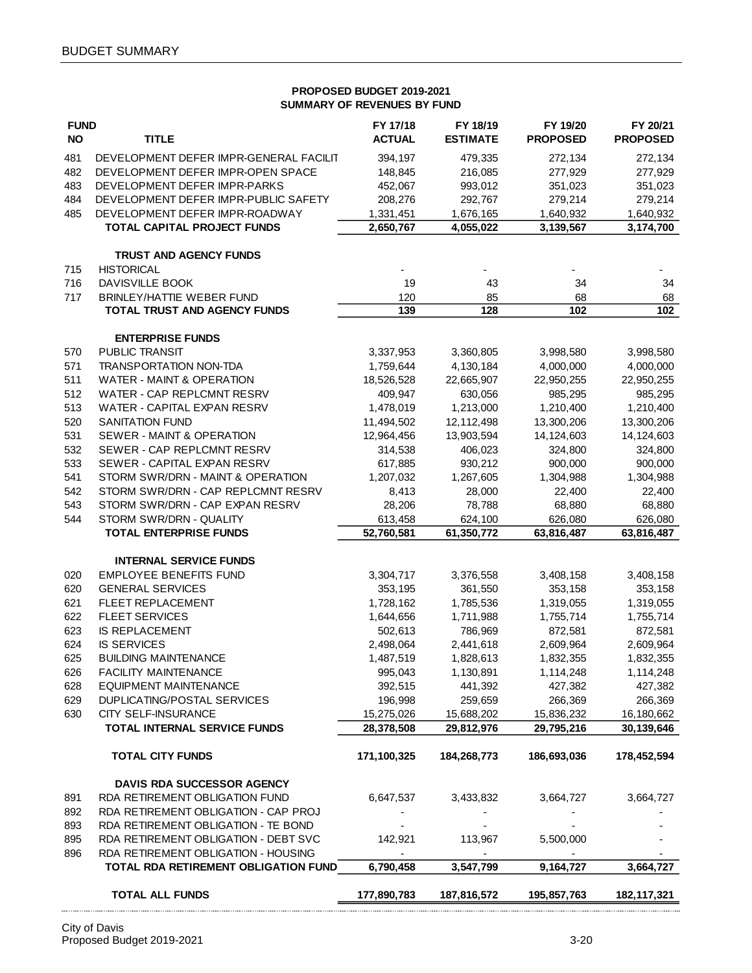#### **PROPOSED BUDGET 2019-2021 SUMMARY OF REVENUES BY FUND**

| <b>FUND</b> |                                                          | FY 17/18      | FY 18/19        | FY 19/20        | FY 20/21        |
|-------------|----------------------------------------------------------|---------------|-----------------|-----------------|-----------------|
| <b>NO</b>   | <b>TITLE</b>                                             | <b>ACTUAL</b> | <b>ESTIMATE</b> | <b>PROPOSED</b> | <b>PROPOSED</b> |
| 481         | DEVELOPMENT DEFER IMPR-GENERAL FACILIT                   | 394,197       | 479,335         | 272,134         | 272,134         |
| 482         | DEVELOPMENT DEFER IMPR-OPEN SPACE                        | 148,845       | 216,085         | 277,929         | 277,929         |
| 483         | DEVELOPMENT DEFER IMPR-PARKS                             | 452,067       | 993,012         | 351,023         | 351,023         |
| 484         | DEVELOPMENT DEFER IMPR-PUBLIC SAFETY                     | 208,276       | 292,767         | 279,214         | 279,214         |
| 485         | DEVELOPMENT DEFER IMPR-ROADWAY                           | 1,331,451     | 1,676,165       | 1,640,932       | 1,640,932       |
|             | TOTAL CAPITAL PROJECT FUNDS                              | 2,650,767     | 4,055,022       | 3,139,567       | 3,174,700       |
|             |                                                          |               |                 |                 |                 |
|             | <b>TRUST AND AGENCY FUNDS</b>                            |               |                 |                 |                 |
| 715         | <b>HISTORICAL</b>                                        |               |                 |                 |                 |
| 716         | DAVISVILLE BOOK                                          | 19            | 43              | 34              | 34              |
| 717         | <b>BRINLEY/HATTIE WEBER FUND</b>                         | 120           | 85              | 68              | 68              |
|             | <b>TOTAL TRUST AND AGENCY FUNDS</b>                      | 139           | 128             | 102             | 102             |
|             |                                                          |               |                 |                 |                 |
|             | <b>ENTERPRISE FUNDS</b>                                  |               |                 |                 |                 |
| 570         | PUBLIC TRANSIT                                           | 3,337,953     | 3,360,805       | 3,998,580       | 3,998,580       |
| 571         | <b>TRANSPORTATION NON-TDA</b>                            | 1,759,644     | 4,130,184       | 4,000,000       | 4,000,000       |
| 511         | <b>WATER - MAINT &amp; OPERATION</b>                     | 18,526,528    | 22,665,907      | 22,950,255      | 22,950,255      |
| 512         | <b>WATER - CAP REPLCMNT RESRV</b>                        | 409,947       | 630,056         | 985,295         | 985,295         |
| 513         | WATER - CAPITAL EXPAN RESRV                              | 1,478,019     | 1,213,000       | 1,210,400       | 1,210,400       |
| 520         | <b>SANITATION FUND</b>                                   | 11,494,502    | 12,112,498      | 13,300,206      | 13,300,206      |
| 531         | SEWER - MAINT & OPERATION                                | 12,964,456    | 13,903,594      | 14,124,603      | 14,124,603      |
| 532         | SEWER - CAP REPLCMNT RESRV                               | 314,538       | 406,023         | 324,800         | 324,800         |
| 533         | SEWER - CAPITAL EXPAN RESRV                              | 617,885       | 930,212         | 900,000         | 900,000         |
| 541         | STORM SWR/DRN - MAINT & OPERATION                        | 1,207,032     | 1,267,605       | 1,304,988       | 1,304,988       |
| 542         | STORM SWR/DRN - CAP REPLCMNT RESRV                       | 8,413         |                 |                 |                 |
| 543         | STORM SWR/DRN - CAP EXPAN RESRV                          |               | 28,000          | 22,400          | 22,400          |
|             |                                                          | 28,206        | 78,788          | 68,880          | 68,880          |
| 544         | STORM SWR/DRN - QUALITY<br><b>TOTAL ENTERPRISE FUNDS</b> | 613,458       | 624,100         | 626,080         | 626,080         |
|             |                                                          | 52,760,581    | 61,350,772      | 63,816,487      | 63,816,487      |
|             | <b>INTERNAL SERVICE FUNDS</b>                            |               |                 |                 |                 |
| 020         | <b>EMPLOYEE BENEFITS FUND</b>                            | 3,304,717     | 3,376,558       | 3,408,158       | 3,408,158       |
| 620         | <b>GENERAL SERVICES</b>                                  | 353,195       | 361,550         | 353,158         | 353,158         |
| 621         | <b>FLEET REPLACEMENT</b>                                 | 1,728,162     | 1,785,536       | 1,319,055       | 1,319,055       |
| 622         | <b>FLEET SERVICES</b>                                    | 1,644,656     | 1,711,988       | 1,755,714       | 1,755,714       |
| 623         | <b>IS REPLACEMENT</b>                                    | 502,613       | 786,969         | 872,581         | 872,581         |
| 624         | <b>IS SERVICES</b>                                       | 2,498,064     | 2,441,618       | 2,609,964       | 2,609,964       |
|             |                                                          |               |                 |                 |                 |
| 625         | <b>BUILDING MAINTENANCE</b>                              | 1,487,519     | 1,828,613       | 1,832,355       | 1,832,355       |
| 626         | FACILITY MAINTENANCE                                     | 995,043       | 1,130,891       | 1,114,248       | 1,114,248       |
| 628         | <b>EQUIPMENT MAINTENANCE</b>                             | 392,515       | 441,392         | 427,382         | 427,382         |
| 629         | <b>DUPLICATING/POSTAL SERVICES</b>                       | 196,998       | 259,659         | 266,369         | 266,369         |
| 630         | CITY SELF-INSURANCE                                      | 15,275,026    | 15,688,202      | 15,836,232      | 16,180,662      |
|             | <b>TOTAL INTERNAL SERVICE FUNDS</b>                      | 28,378,508    | 29,812,976      | 29,795,216      | 30,139,646      |
|             | <b>TOTAL CITY FUNDS</b>                                  | 171,100,325   | 184,268,773     | 186,693,036     | 178,452,594     |
|             |                                                          |               |                 |                 |                 |
|             | <b>DAVIS RDA SUCCESSOR AGENCY</b>                        |               |                 |                 |                 |
| 891         | RDA RETIREMENT OBLIGATION FUND                           | 6,647,537     | 3,433,832       | 3,664,727       | 3,664,727       |
| 892         | RDA RETIREMENT OBLIGATION - CAP PROJ                     |               |                 |                 |                 |
| 893         | RDA RETIREMENT OBLIGATION - TE BOND                      |               |                 |                 |                 |
| 895         | RDA RETIREMENT OBLIGATION - DEBT SVC                     | 142,921       | 113,967         | 5,500,000       |                 |
| 896         | RDA RETIREMENT OBLIGATION - HOUSING                      |               |                 |                 |                 |
|             | TOTAL RDA RETIREMENT OBLIGATION FUND                     | 6,790,458     | 3,547,799       | 9,164,727       | 3,664,727       |
|             |                                                          |               |                 |                 |                 |
|             | <b>TOTAL ALL FUNDS</b>                                   | 177,890,783   | 187,816,572     | 195,857,763     | 182, 117, 321   |
|             |                                                          |               |                 |                 |                 |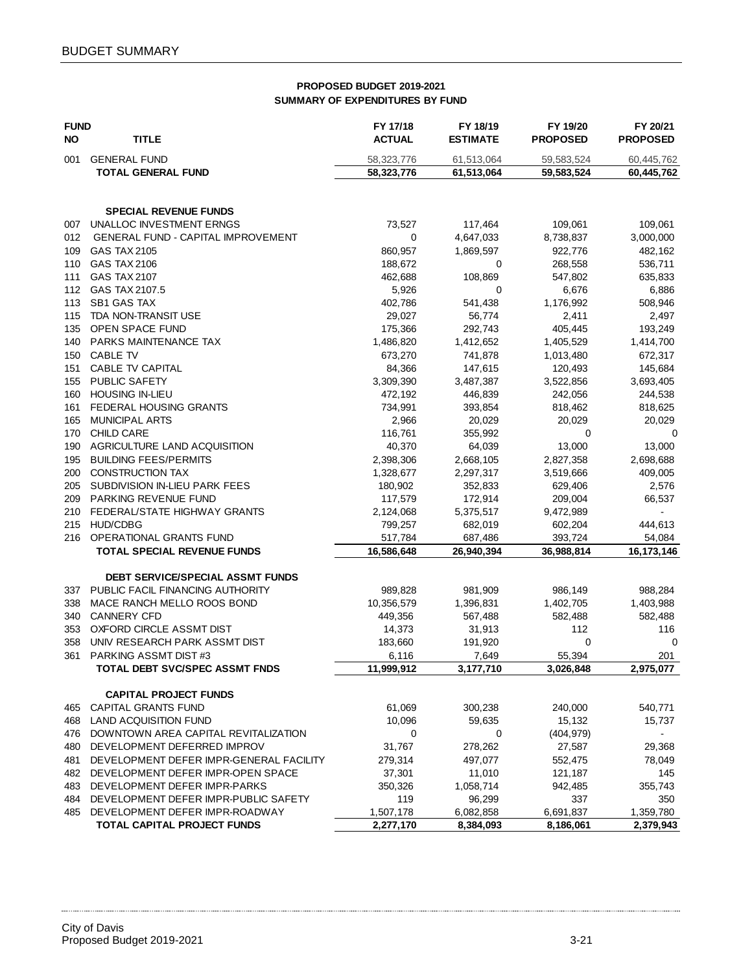#### **PROPOSED BUDGET 2019-2021 SUMMARY OF EXPENDITURES BY FUND**

| <b>FUND</b> |                                           | FY 17/18      | FY 18/19        | FY 19/20        | FY 20/21        |
|-------------|-------------------------------------------|---------------|-----------------|-----------------|-----------------|
| <b>NO</b>   | <b>TITLE</b>                              | <b>ACTUAL</b> | <b>ESTIMATE</b> | <b>PROPOSED</b> | <b>PROPOSED</b> |
| 001         | <b>GENERAL FUND</b>                       | 58, 323, 776  | 61,513,064      | 59,583,524      | 60,445,762      |
|             | <b>TOTAL GENERAL FUND</b>                 | 58,323,776    | 61,513,064      | 59,583,524      | 60,445,762      |
|             |                                           |               |                 |                 |                 |
|             | <b>SPECIAL REVENUE FUNDS</b>              |               |                 |                 |                 |
| 007         | UNALLOC INVESTMENT ERNGS                  | 73,527        | 117,464         | 109,061         | 109,061         |
| 012         | <b>GENERAL FUND - CAPITAL IMPROVEMENT</b> | 0             | 4,647,033       | 8,738,837       | 3,000,000       |
| 109         | GAS TAX 2105                              | 860,957       | 1,869,597       | 922,776         | 482,162         |
| 110         | GAS TAX 2106                              | 188,672       | 0               | 268,558         | 536,711         |
| 111         | <b>GAS TAX 2107</b>                       | 462,688       | 108,869         | 547,802         | 635,833         |
| 112         | GAS TAX 2107.5                            | 5,926         | 0               | 6,676           | 6,886           |
| 113         | <b>SB1 GAS TAX</b>                        | 402,786       | 541,438         | 1,176,992       | 508,946         |
| 115         | TDA NON-TRANSIT USE                       | 29,027        | 56,774          | 2,411           | 2,497           |
| 135         | OPEN SPACE FUND                           | 175,366       | 292,743         | 405,445         | 193,249         |
| 140         | <b>PARKS MAINTENANCE TAX</b>              | 1,486,820     | 1,412,652       | 1,405,529       | 1,414,700       |
| 150         | <b>CABLE TV</b>                           | 673,270       | 741,878         | 1,013,480       | 672,317         |
| 151         | CABLE TV CAPITAL                          | 84,366        | 147,615         | 120,493         | 145,684         |
| 155         | PUBLIC SAFETY                             | 3,309,390     | 3,487,387       | 3,522,856       | 3,693,405       |
| 160         | <b>HOUSING IN-LIEU</b>                    | 472,192       | 446,839         | 242,056         | 244,538         |
| 161         | <b>FEDERAL HOUSING GRANTS</b>             | 734,991       | 393,854         | 818,462         | 818,625         |
| 165         | <b>MUNICIPAL ARTS</b>                     | 2,966         | 20,029          | 20,029          | 20,029          |
| 170         | <b>CHILD CARE</b>                         | 116,761       | 355,992         | 0               | 0               |
| 190         | AGRICULTURE LAND ACQUISITION              | 40,370        | 64,039          | 13,000          | 13,000          |
| 195         | <b>BUILDING FEES/PERMITS</b>              | 2,398,306     | 2,668,105       | 2,827,358       | 2,698,688       |
| 200         | <b>CONSTRUCTION TAX</b>                   | 1,328,677     | 2,297,317       | 3,519,666       | 409,005         |
| 205         | SUBDIVISION IN-LIEU PARK FEES             | 180,902       | 352,833         | 629,406         | 2,576           |
| 209         | <b>PARKING REVENUE FUND</b>               | 117,579       | 172,914         | 209,004         | 66,537          |
| 210         | FEDERAL/STATE HIGHWAY GRANTS              | 2,124,068     | 5,375,517       | 9,472,989       |                 |
| 215         | <b>HUD/CDBG</b>                           | 799,257       | 682,019         | 602,204         | 444,613         |
| 216         | OPERATIONAL GRANTS FUND                   | 517,784       | 687,486         | 393,724         | 54,084          |
|             | <b>TOTAL SPECIAL REVENUE FUNDS</b>        | 16,586,648    | 26,940,394      | 36,988,814      | 16,173,146      |
|             | DEBT SERVICE/SPECIAL ASSMT FUNDS          |               |                 |                 |                 |
| 337         | PUBLIC FACIL FINANCING AUTHORITY          | 989,828       | 981,909         | 986,149         | 988,284         |
| 338         | MACE RANCH MELLO ROOS BOND                | 10,356,579    | 1,396,831       | 1,402,705       | 1,403,988       |
| 340         | <b>CANNERY CFD</b>                        | 449,356       | 567,488         | 582,488         | 582,488         |
| 353         | OXFORD CIRCLE ASSMT DIST                  | 14,373        | 31,913          | 112             | 116             |
| 358         | UNIV RESEARCH PARK ASSMT DIST             | 183,660       | 191,920         | 0               | 0               |
| 361         | PARKING ASSMT DIST#3                      | 6,116         | 7,649           | 55,394          | 201             |
|             | TOTAL DEBT SVC/SPEC ASSMT FNDS            | 11,999,912    | 3,177,710       | 3,026,848       | 2,975,077       |
|             | <b>CAPITAL PROJECT FUNDS</b>              |               |                 |                 |                 |
| 465         | <b>CAPITAL GRANTS FUND</b>                | 61,069        | 300,238         | 240,000         | 540,771         |
|             | 468 LAND ACQUISITION FUND                 | 10,096        | 59,635          | 15,132          | 15,737          |
|             | 476 DOWNTOWN AREA CAPITAL REVITALIZATION  | 0             | 0               | (404, 979)      | $\blacksquare$  |
|             | 480 DEVELOPMENT DEFERRED IMPROV           | 31,767        | 278,262         | 27,587          | 29,368          |
| 481         | DEVELOPMENT DEFER IMPR-GENERAL FACILITY   | 279,314       | 497,077         | 552,475         | 78,049          |
|             | 482 DEVELOPMENT DEFER IMPR-OPEN SPACE     | 37,301        | 11,010          | 121,187         | 145             |
| 483         | DEVELOPMENT DEFER IMPR-PARKS              | 350,326       | 1,058,714       | 942,485         | 355,743         |
| 484         | DEVELOPMENT DEFER IMPR-PUBLIC SAFETY      | 119           | 96,299          | 337             | 350             |
|             | 485 DEVELOPMENT DEFER IMPR-ROADWAY        | 1,507,178     | 6,082,858       | 6,691,837       | 1,359,780       |
|             | <b>TOTAL CAPITAL PROJECT FUNDS</b>        | 2,277,170     | 8,384,093       | 8,186,061       | 2,379,943       |